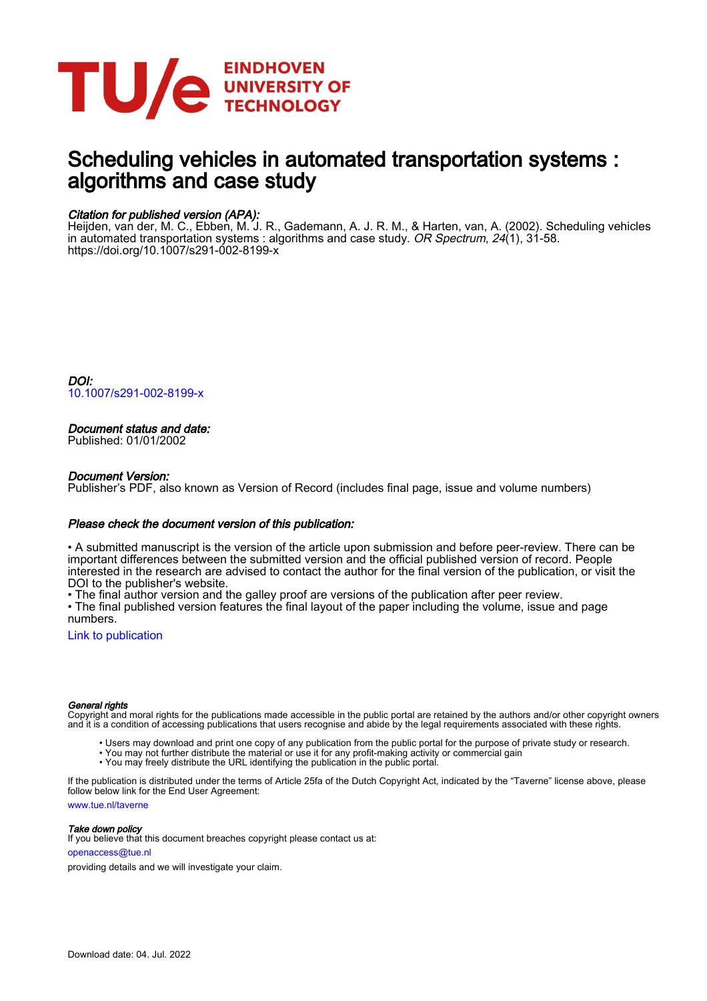

# Scheduling vehicles in automated transportation systems : algorithms and case study

#### Citation for published version (APA):

Heijden, van der, M. C., Ebben, M. J. R., Gademann, A. J. R. M., & Harten, van, A. (2002). Scheduling vehicles in automated transportation systems : algorithms and case study. *OR Spectrum, 24*(1), 31-58. <https://doi.org/10.1007/s291-002-8199-x>

DOI: [10.1007/s291-002-8199-x](https://doi.org/10.1007/s291-002-8199-x)

#### Document status and date:

Published: 01/01/2002

#### Document Version:

Publisher's PDF, also known as Version of Record (includes final page, issue and volume numbers)

#### Please check the document version of this publication:

• A submitted manuscript is the version of the article upon submission and before peer-review. There can be important differences between the submitted version and the official published version of record. People interested in the research are advised to contact the author for the final version of the publication, or visit the DOI to the publisher's website.

• The final author version and the galley proof are versions of the publication after peer review.

• The final published version features the final layout of the paper including the volume, issue and page numbers.

[Link to publication](https://research.tue.nl/en/publications/c49a61ea-c17c-41f2-95fd-197214021186)

#### General rights

Copyright and moral rights for the publications made accessible in the public portal are retained by the authors and/or other copyright owners and it is a condition of accessing publications that users recognise and abide by the legal requirements associated with these rights.

- Users may download and print one copy of any publication from the public portal for the purpose of private study or research.
- You may not further distribute the material or use it for any profit-making activity or commercial gain
- You may freely distribute the URL identifying the publication in the public portal.

If the publication is distributed under the terms of Article 25fa of the Dutch Copyright Act, indicated by the "Taverne" license above, please follow below link for the End User Agreement:

www.tue.nl/taverne

**Take down policy**<br>If you believe that this document breaches copyright please contact us at:

openaccess@tue.nl

providing details and we will investigate your claim.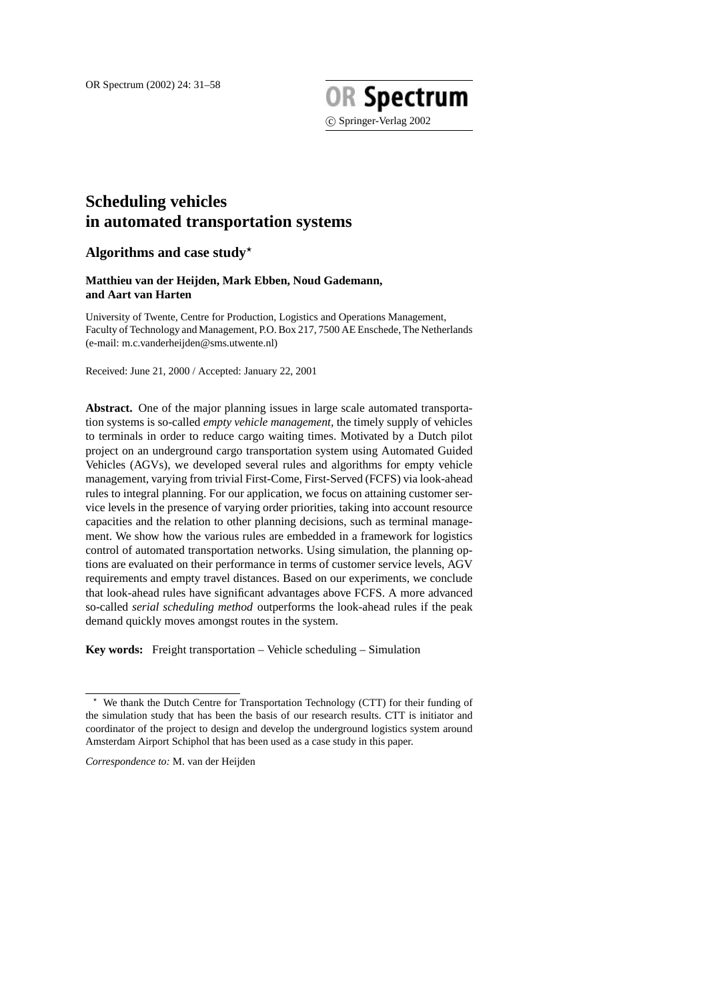OR Spectrum c Springer-Verlag 2002

## **Scheduling vehicles in automated transportation systems**

### **Algorithms and case study**

#### **Matthieu van der Heijden, Mark Ebben, Noud Gademann, and Aart van Harten**

Universityof Twente, Centre for Production, Logistics and Operations Management, Facultyof Technologyand Management, P.O. Box 217, 7500 AE Enschede, The Netherlands (e-mail: m.c.vanderheijden@sms.utwente.nl)

Received: June 21, 2000 / Accepted: January22, 2001

**Abstract.** One of the major planning issues in large scale automated transportation systems is so-called *empty vehicle management*, the timely supply of vehicles to terminals in order to reduce cargo waiting times. Motivated by a Dutch pilot project on an underground cargo transportation system using Automated Guided Vehicles (AGVs), we developed several rules and algorithms for emptyvehicle management, varying from trivial First-Come, First-Served (FCFS) via look-ahead rules to integral planning. For our application, we focus on attaining customer service levels in the presence of varying order priorities, taking into account resource capacities and the relation to other planning decisions, such as terminal management. We show how the various rules are embedded in a framework for logistics control of automated transportation networks. Using simulation, the planning options are evaluated on their performance in terms of customer service levels, AGV requirements and empty travel distances. Based on our experiments, we conclude that look-ahead rules have significant advantages above FCFS. A more advanced so-called *serial scheduling method* outperforms the look-ahead rules if the peak demand quickly moves amongst routes in the system.

**Key words:** Freight transportation – Vehicle scheduling – Simulation

 $*$  We thank the Dutch Centre for Transportation Technology (CTT) for their funding of the simulation study that has been the basis of our research results. CTT is initiator and coordinator of the project to design and develop the underground logistics system around Amsterdam Airport Schiphol that has been used as a case study in this paper.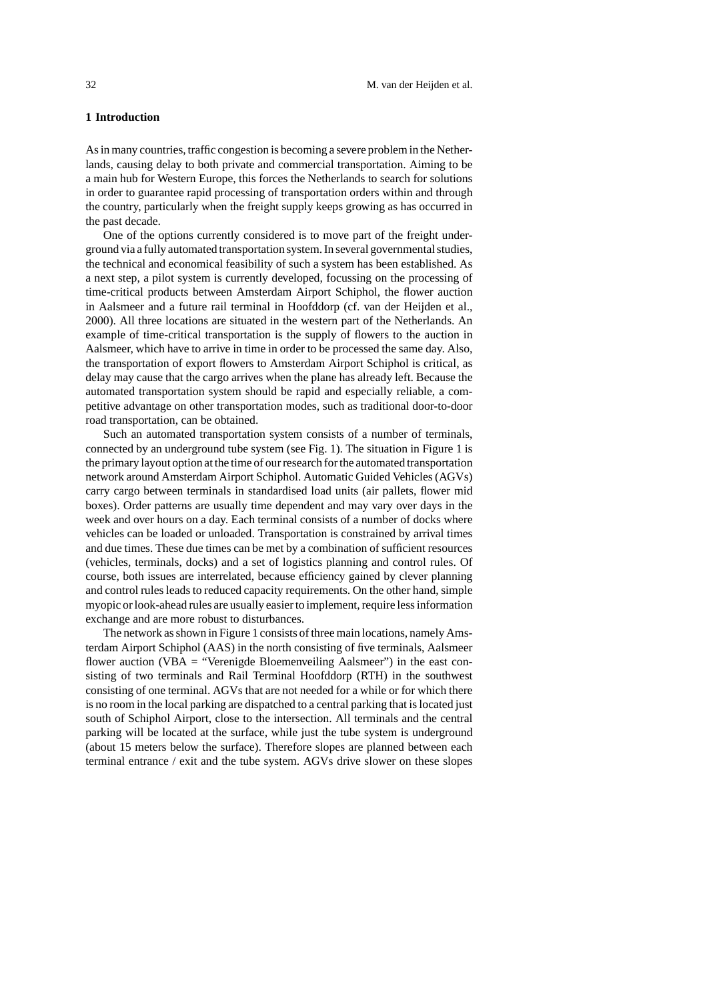#### **1 Introduction**

As in manycountries, traffic congestion is becoming a severe problem in the Netherlands, causing delay to both private and commercial transportation. Aiming to be a main hub for Western Europe, this forces the Netherlands to search for solutions in order to guarantee rapid processing of transportation orders within and through the country, particularly when the freight supply keeps growing as has occurred in the past decade.

One of the options currently considered is to move part of the freight underground via a fullyautomated transportation system. In several governmental studies, the technical and economical feasibilityof such a system has been established. As a next step, a pilot system is currently developed, focussing on the processing of time-critical products between Amsterdam Airport Schiphol, the flower auction in Aalsmeer and a future rail terminal in Hoofddorp (cf. van der Heijden et al., 2000). All three locations are situated in the western part of the Netherlands. An example of time-critical transportation is the supplyof flowers to the auction in Aalsmeer, which have to arrive in time in order to be processed the same day. Also, the transportation of export flowers to Amsterdam Airport Schiphol is critical, as delay may cause that the cargo arrives when the plane has already left. Because the automated transportation system should be rapid and especially reliable, a competitive advantage on other transportation modes, such as traditional door-to-door road transportation, can be obtained.

Such an automated transportation system consists of a number of terminals, connected by an underground tube system (see Fig. 1). The situation in Figure 1 is the primarylayout option at the time of our research for the automated transportation network around Amsterdam Airport Schiphol. Automatic Guided Vehicles (AGVs) carrycargo between terminals in standardised load units (air pallets, flower mid boxes). Order patterns are usually time dependent and may vary over days in the week and over hours on a day. Each terminal consists of a number of docks where vehicles can be loaded or unloaded. Transportation is constrained by arrival times and due times. These due times can be met bya combination of sufficient resources (vehicles, terminals, docks) and a set of logistics planning and control rules. Of course, both issues are interrelated, because efficiency gained by clever planning and control rules leads to reduced capacity requirements. On the other hand, simple myopic or look-ahead rules are usually easier to implement, require less information exchange and are more robust to disturbances.

The network as shown in Figure 1 consists of three main locations, namelyAmsterdam Airport Schiphol (AAS) in the north consisting of five terminals, Aalsmeer flower auction (VBA = "Verenigde Bloemenveiling Aalsmeer") in the east consisting of two terminals and Rail Terminal Hoofddorp (RTH) in the southwest consisting of one terminal. AGVs that are not needed for a while or for which there is no room in the local parking are dispatched to a central parking that is located just south of Schiphol Airport, close to the intersection. All terminals and the central parking will be located at the surface, while just the tube system is underground (about 15 meters below the surface). Therefore slopes are planned between each terminal entrance / exit and the tube system. AGVs drive slower on these slopes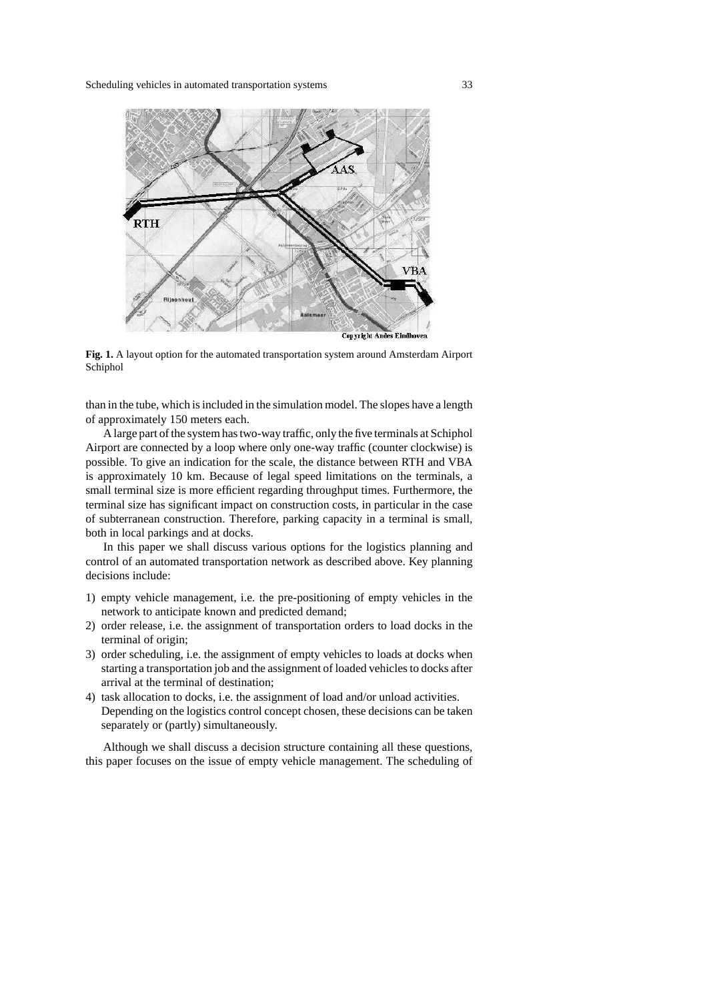

**Fig. 1.** A layout option for the automated transportation system around Amsterdam Airport Schiphol

than in the tube, which is included in the simulation model. The slopes have a length of approximately150 meters each.

A large part of the system has two-waytraffic, onlythe five terminals at Schiphol Airport are connected bya loop where onlyone-waytraffic (counter clockwise) is possible. To give an indication for the scale, the distance between RTH and VBA is approximately 10 km. Because of legal speed limitations on the terminals, a small terminal size is more efficient regarding throughput times. Furthermore, the terminal size has significant impact on construction costs, in particular in the case of subterranean construction. Therefore, parking capacity in a terminal is small, both in local parkings and at docks.

In this paper we shall discuss various options for the logistics planning and control of an automated transportation network as described above. Keyplanning decisions include:

- 1) emptyvehicle management, i.e. the pre-positioning of emptyvehicles in the network to anticipate known and predicted demand;
- 2) order release, i.e. the assignment of transportation orders to load docks in the terminal of origin;
- 3) order scheduling, i.e. the assignment of empty vehicles to loads at docks when starting a transportation job and the assignment of loaded vehicles to docks after arrival at the terminal of destination;
- 4) task allocation to docks, i.e. the assignment of load and/or unload activities. Depending on the logistics control concept chosen, these decisions can be taken separately or (partly) simultaneously.

Although we shall discuss a decision structure containing all these questions, this paper focuses on the issue of empty vehicle management. The scheduling of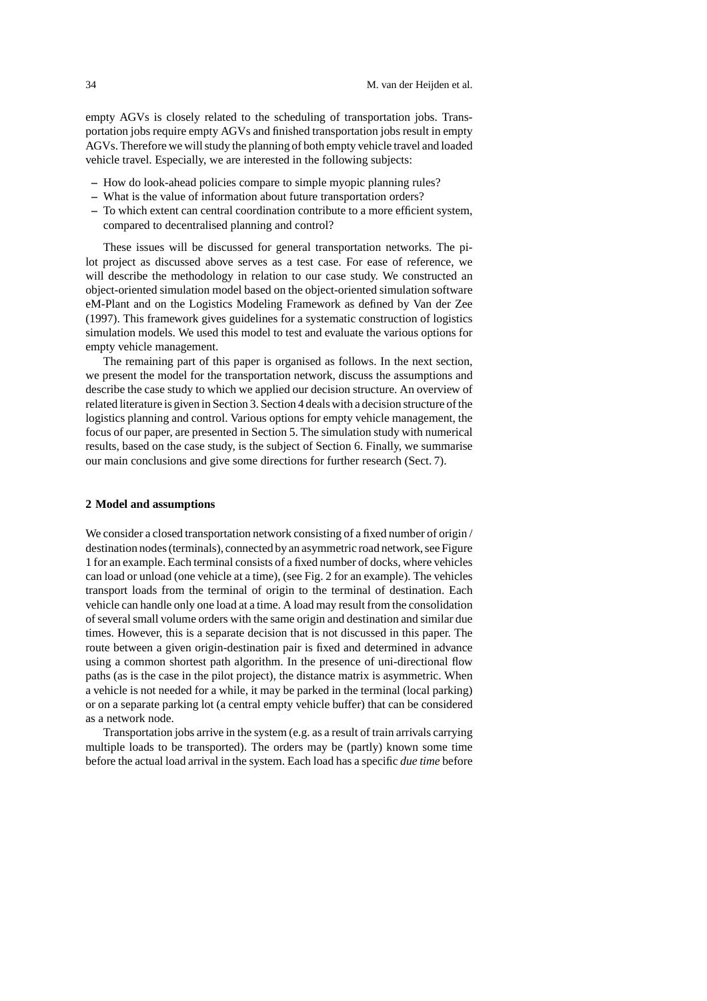empty AGVs is closely related to the scheduling of transportation jobs. Transportation jobs require empty AGVs and finished transportation jobs result in empty AGVs. Therefore we will study the planning of both empty vehicle travel and loaded vehicle travel. Especially, we are interested in the following subjects:

- **–** How do look-ahead policies compare to simple myopic planning rules?
- **–** What is the value of information about future transportation orders?
- **–** To which extent can central coordination contribute to a more efficient system, compared to decentralised planning and control?

These issues will be discussed for general transportation networks. The pilot project as discussed above serves as a test case. For ease of reference, we will describe the methodology in relation to our case study. We constructed an object-oriented simulation model based on the object-oriented simulation software eM-Plant and on the Logistics Modeling Framework as defined byVan der Zee (1997). This framework gives guidelines for a systematic construction of logistics simulation models. We used this model to test and evaluate the various options for empty vehicle management.

The remaining part of this paper is organised as follows. In the next section, we present the model for the transportation network, discuss the assumptions and describe the case study to which we applied our decision structure. An overview of related literature is given in Section 3. Section 4 deals with a decision structure of the logistics planning and control. Various options for empty vehicle management, the focus of our paper, are presented in Section 5. The simulation studywith numerical results, based on the case study, is the subject of Section 6. Finally, we summarise our main conclusions and give some directions for further research (Sect. 7).

#### **2 Model and assumptions**

We consider a closed transportation network consisting of a fixed number of origin / destination nodes (terminals), connected by an asymmetric road network, see Figure 1 for an example. Each terminal consists of a fixed number of docks, where vehicles can load or unload (one vehicle at a time), (see Fig. 2 for an example). The vehicles transport loads from the terminal of origin to the terminal of destination. Each vehicle can handle only one load at a time. A load may result from the consolidation of several small volume orders with the same origin and destination and similar due times. However, this is a separate decision that is not discussed in this paper. The route between a given origin-destination pair is fixed and determined in advance using a common shortest path algorithm. In the presence of uni-directional flow paths (as is the case in the pilot project), the distance matrix is asymmetric. When a vehicle is not needed for a while, it maybe parked in the terminal (local parking) or on a separate parking lot (a central emptyvehicle buffer) that can be considered as a network node.

Transportation jobs arrive in the system (e.g. as a result of train arrivals carrying multiple loads to be transported). The orders maybe (partly) known some time before the actual load arrival in the system. Each load has a specific *due time* before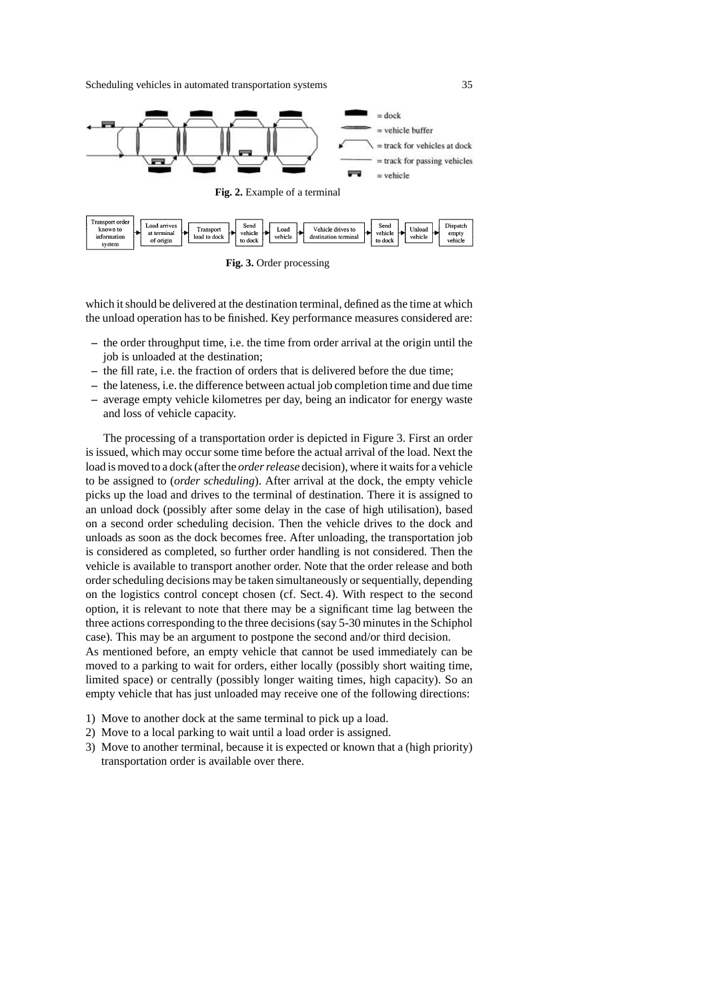

**Fig. 2.** Example of a terminal



**Fig. 3.** Order processing

which it should be delivered at the destination terminal, defined as the time at which the unload operation has to be finished. Key performance measures considered are:

- **–** the order throughput time, i.e. the time from order arrival at the origin until the job is unloaded at the destination;
- **–** the fill rate, i.e. the fraction of orders that is delivered before the due time;
- **–** the lateness, i.e. the difference between actual job completion time and due time
- **–** average emptyvehicle kilometres per day, being an indicator for energywaste and loss of vehicle capacity.

The processing of a transportation order is depicted in Figure 3. First an order is issued, which mayoccur some time before the actual arrival of the load. Next the load is moved to a dock (after the *order release* decision), where it waits for a vehicle to be assigned to (*order scheduling*). After arrival at the dock, the emptyvehicle picks up the load and drives to the terminal of destination. There it is assigned to an unload dock (possiblyafter some delayin the case of high utilisation), based on a second order scheduling decision. Then the vehicle drives to the dock and unloads as soon as the dock becomes free. After unloading, the transportation job is considered as completed, so further order handling is not considered. Then the vehicle is available to transport another order. Note that the order release and both order scheduling decisions maybe taken simultaneouslyor sequentially, depending on the logistics control concept chosen (cf. Sect. 4). With respect to the second option, it is relevant to note that there maybe a significant time lag between the three actions corresponding to the three decisions (say5-30 minutes in the Schiphol case). This maybe an argument to postpone the second and/or third decision. As mentioned before, an empty vehicle that cannot be used immediately can be

moved to a parking to wait for orders, either locally (possibly short waiting time, limited space) or centrally (possibly longer waiting times, high capacity). So an empty vehicle that has just unloaded may receive one of the following directions:

- 1) Move to another dock at the same terminal to pick up a load.
- 2) Move to a local parking to wait until a load order is assigned.
- 3) Move to another terminal, because it is expected or known that a (high priority) transportation order is available over there.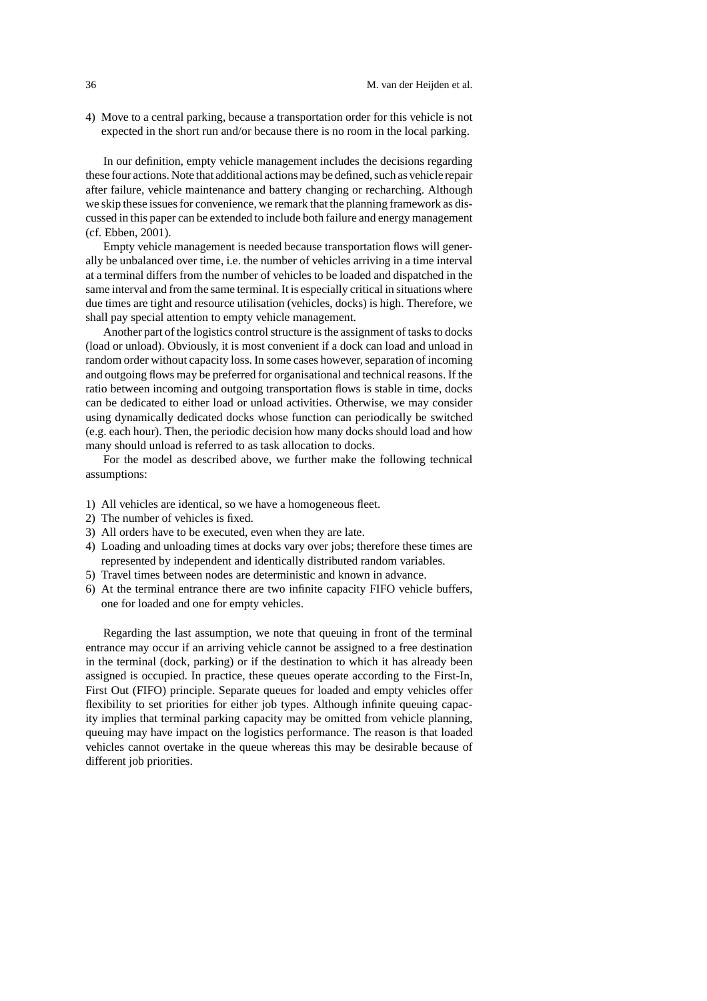4) Move to a central parking, because a transportation order for this vehicle is not expected in the short run and/or because there is no room in the local parking.

In our definition, empty vehicle management includes the decisions regarding these four actions. Note that additional actions maybe defined, such as vehicle repair after failure, vehicle maintenance and batterychanging or recharching. Although we skip these issues for convenience, we remark that the planning framework as discussed in this paper can be extended to include both failure and energymanagement (cf. Ebben, 2001).

Empty vehicle management is needed because transportation flows will generallybe unbalanced over time, i.e. the number of vehicles arriving in a time interval at a terminal differs from the number of vehicles to be loaded and dispatched in the same interval and from the same terminal. It is especially critical in situations where due times are tight and resource utilisation (vehicles, docks) is high. Therefore, we shall pay special attention to empty vehicle management.

Another part of the logistics control structure is the assignment of tasks to docks (load or unload). Obviously, it is most convenient if a dock can load and unload in random order without capacityloss. In some cases however, separation of incoming and outgoing flows maybe preferred for organisational and technical reasons. If the ratio between incoming and outgoing transportation flows is stable in time, docks can be dedicated to either load or unload activities. Otherwise, we mayconsider using dynamically dedicated docks whose function can periodically be switched (e.g. each hour). Then, the periodic decision how manydocks should load and how manyshould unload is referred to as task allocation to docks.

For the model as described above, we further make the following technical assumptions:

- 1) All vehicles are identical, so we have a homogeneous fleet.
- 2) The number of vehicles is fixed.
- 3) All orders have to be executed, even when they are late.
- 4) Loading and unloading times at docks varyover jobs; therefore these times are represented by independent and identically distributed random variables.
- 5) Travel times between nodes are deterministic and known in advance.
- 6) At the terminal entrance there are two infinite capacity FIFO vehicle buffers, one for loaded and one for empty vehicles.

Regarding the last assumption, we note that queuing in front of the terminal entrance mayoccur if an arriving vehicle cannot be assigned to a free destination in the terminal (dock, parking) or if the destination to which it has already been assigned is occupied. In practice, these queues operate according to the First-In, First Out (FIFO) principle. Separate queues for loaded and empty vehicles offer flexibility to set priorities for either job types. Although infinite queuing capacity implies that terminal parking capacity may be omitted from vehicle planning, queuing mayhave impact on the logistics performance. The reason is that loaded vehicles cannot overtake in the queue whereas this maybe desirable because of different job priorities.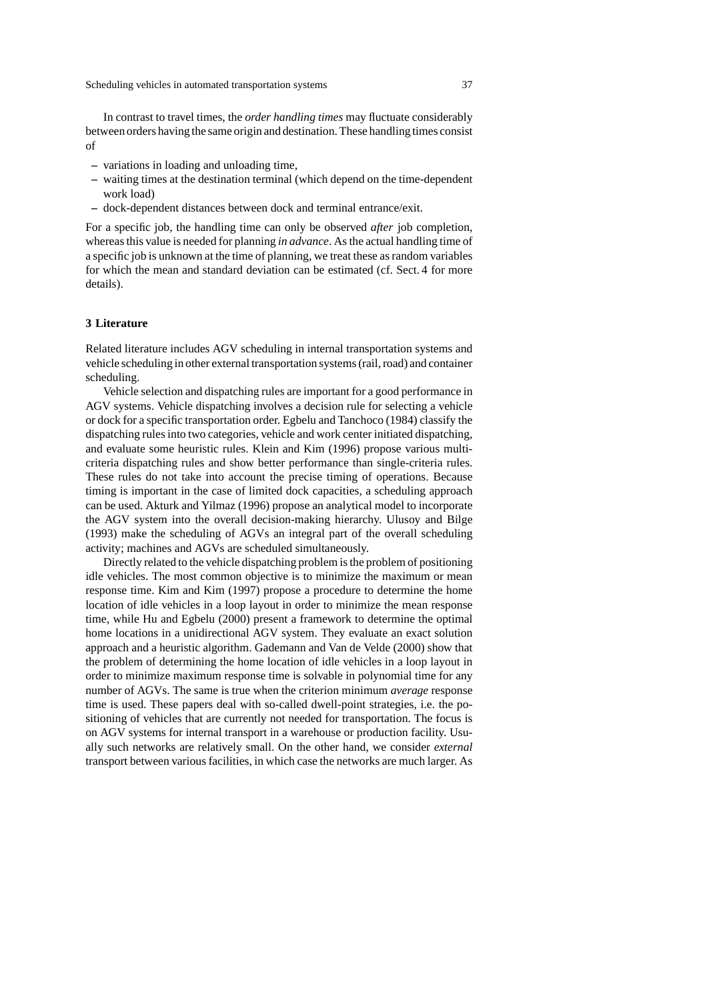In contrast to travel times, the *order handling times* mayfluctuate considerably between orders having the same origin and destination. These handling times consist of

- **–** variations in loading and unloading time,
- **–** waiting times at the destination terminal (which depend on the time-dependent work load)
- **–** dock-dependent distances between dock and terminal entrance/exit.

For a specific job, the handling time can onlybe observed *after* job completion, whereas this value is needed for planning *in advance*. As the actual handling time of a specific job is unknown at the time of planning, we treat these as random variables for which the mean and standard deviation can be estimated (cf. Sect. 4 for more details).

#### **3 Literature**

Related literature includes AGV scheduling in internal transportation systems and vehicle scheduling in other external transportation systems (rail, road) and container scheduling.

Vehicle selection and dispatching rules are important for a good performance in AGV systems. Vehicle dispatching involves a decision rule for selecting a vehicle or dock for a specific transportation order. Egbelu and Tanchoco (1984) classifythe dispatching rules into two categories, vehicle and work center initiated dispatching, and evaluate some heuristic rules. Klein and Kim (1996) propose various multicriteria dispatching rules and show better performance than single-criteria rules. These rules do not take into account the precise timing of operations. Because timing is important in the case of limited dock capacities, a scheduling approach can be used. Akturk and Yilmaz (1996) propose an analytical model to incorporate the AGV system into the overall decision-making hierarchy. Ulusoy and Bilge (1993) make the scheduling of AGVs an integral part of the overall scheduling activity; machines and AGVs are scheduled simultaneously.

Directly related to the vehicle dispatching problem is the problem of positioning idle vehicles. The most common objective is to minimize the maximum or mean response time. Kim and Kim (1997) propose a procedure to determine the home location of idle vehicles in a loop layout in order to minimize the mean response time, while Hu and Egbelu (2000) present a framework to determine the optimal home locations in a unidirectional AGV system. They evaluate an exact solution approach and a heuristic algorithm. Gademann and Van de Velde (2000) show that the problem of determining the home location of idle vehicles in a loop layout in order to minimize maximum response time is solvable in polynomial time for any number of AGVs. The same is true when the criterion minimum *average* response time is used. These papers deal with so-called dwell-point strategies, i.e. the positioning of vehicles that are currently not needed for transportation. The focus is on AGV systems for internal transport in a warehouse or production facility. Usuallysuch networks are relativelysmall. On the other hand, we consider *external* transport between various facilities, in which case the networks are much larger. As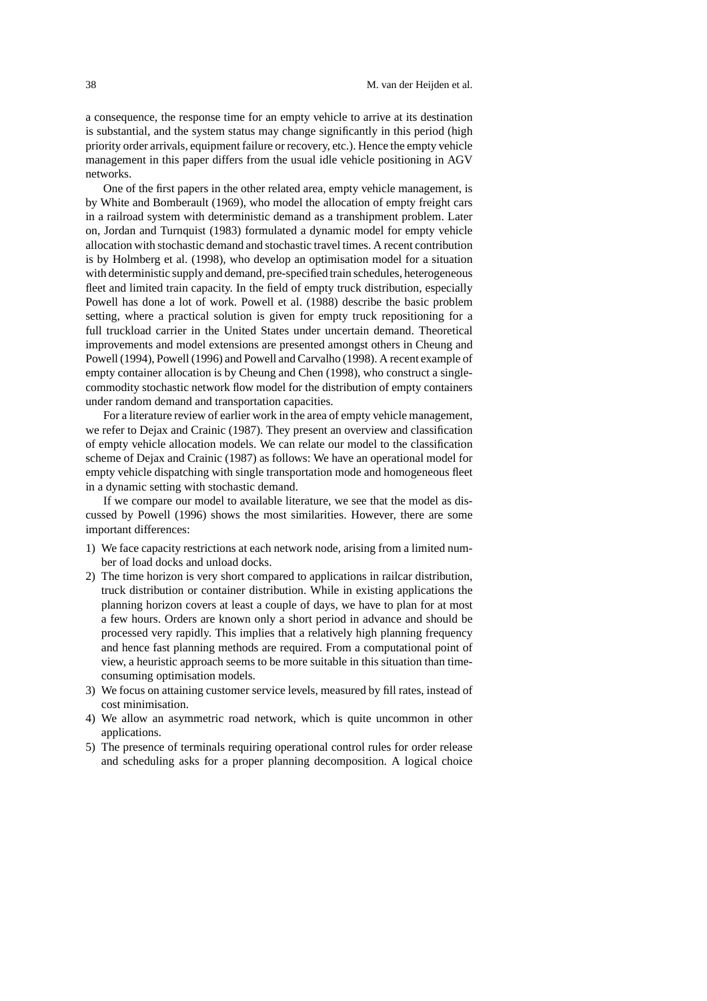a consequence, the response time for an emptyvehicle to arrive at its destination is substantial, and the system status may change significantly in this period (high priorityorder arrivals, equipment failure or recovery, etc.). Hence the emptyvehicle management in this paper differs from the usual idle vehicle positioning in AGV networks.

One of the first papers in the other related area, empty vehicle management, is by White and Bomberault (1969), who model the allocation of empty freight cars in a railroad system with deterministic demand as a transhipment problem. Later on, Jordan and Turnquist (1983) formulated a dynamic model for empty vehicle allocation with stochastic demand and stochastic travel times. A recent contribution is byHolmberg et al. (1998), who develop an optimisation model for a situation with deterministic supply and demand, pre-specified train schedules, heterogeneous fleet and limited train capacity. In the field of empty truck distribution, especially Powell has done a lot of work. Powell et al. (1988) describe the basic problem setting, where a practical solution is given for empty truck repositioning for a full truckload carrier in the United States under uncertain demand. Theoretical improvements and model extensions are presented amongst others in Cheung and Powell (1994), Powell (1996) and Powell and Carvalho (1998). A recent example of empty container allocation is by Cheung and Chen (1998), who construct a singlecommodity stochastic network flow model for the distribution of empty containers under random demand and transportation capacities.

For a literature review of earlier work in the area of empty vehicle management, we refer to Dejax and Crainic (1987). They present an overview and classification of emptyvehicle allocation models. We can relate our model to the classification scheme of Dejax and Crainic (1987) as follows: We have an operational model for empty vehicle dispatching with single transportation mode and homogeneous fleet in a dynamic setting with stochastic demand.

If we compare our model to available literature, we see that the model as discussed by Powell (1996) shows the most similarities. However, there are some important differences:

- 1) We face capacity restrictions at each network node, arising from a limited number of load docks and unload docks.
- 2) The time horizon is veryshort compared to applications in railcar distribution, truck distribution or container distribution. While in existing applications the planning horizon covers at least a couple of days, we have to plan for at most a few hours. Orders are known onlya short period in advance and should be processed very rapidly. This implies that a relatively high planning frequency and hence fast planning methods are required. From a computational point of view, a heuristic approach seems to be more suitable in this situation than timeconsuming optimisation models.
- 3) We focus on attaining customer service levels, measured byfill rates, instead of cost minimisation.
- 4) We allow an asymmetric road network, which is quite uncommon in other applications.
- 5) The presence of terminals requiring operational control rules for order release and scheduling asks for a proper planning decomposition. A logical choice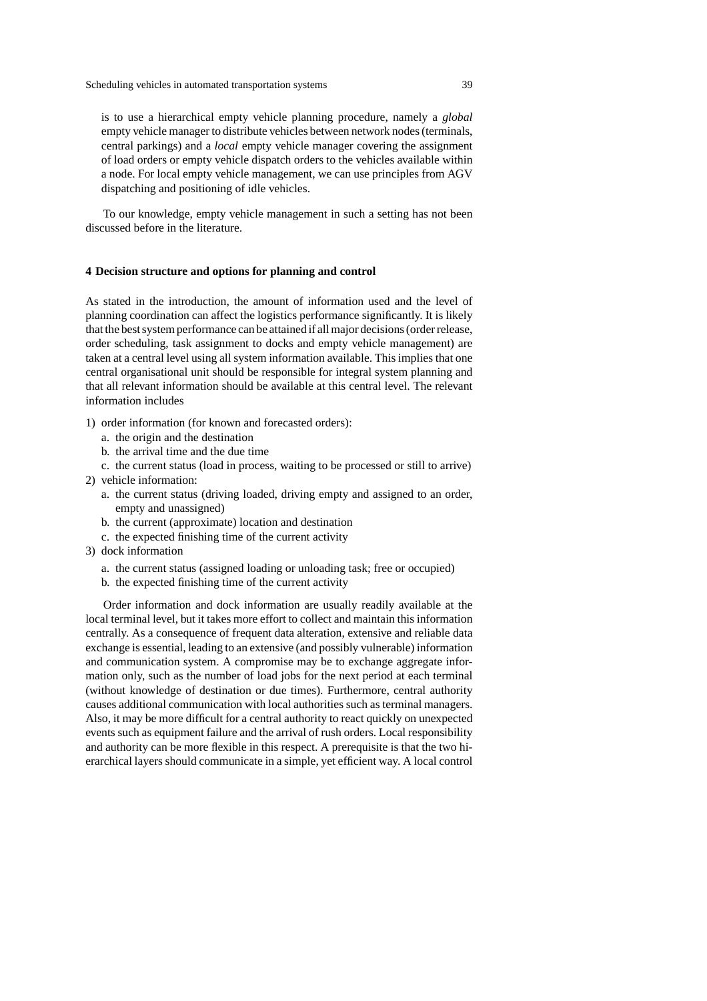is to use a hierarchical empty vehicle planning procedure, namely a *global* empty vehicle manager to distribute vehicles between network nodes (terminals, central parkings) and a *local* empty vehicle manager covering the assignment of load orders or empty vehicle dispatch orders to the vehicles available within a node. For local empty vehicle management, we can use principles from AGV dispatching and positioning of idle vehicles.

To our knowledge, emptyvehicle management in such a setting has not been discussed before in the literature.

#### **4 Decision structure and options for planning and control**

As stated in the introduction, the amount of information used and the level of planning coordination can affect the logistics performance significantly. It is likely that the best system performance can be attained if all major decisions (order release, order scheduling, task assignment to docks and emptyvehicle management) are taken at a central level using all system information available. This implies that one central organisational unit should be responsible for integral system planning and that all relevant information should be available at this central level. The relevant information includes

- 1) order information (for known and forecasted orders):
	- a. the origin and the destination
	- b. the arrival time and the due time
	- c. the current status (load in process, waiting to be processed or still to arrive)
- 2) vehicle information:
	- a. the current status (driving loaded, driving emptyand assigned to an order, empty and unassigned)
	- b. the current (approximate) location and destination
	- c. the expected finishing time of the current activity
- 3) dock information
	- a. the current status (assigned loading or unloading task; free or occupied)
	- b. the expected finishing time of the current activity

Order information and dock information are usually readily available at the local terminal level, but it takes more effort to collect and maintain this information centrally. As a consequence of frequent data alteration, extensive and reliable data exchange is essential, leading to an extensive (and possibly vulnerable) information and communication system. A compromise may be to exchange aggregate information only, such as the number of load jobs for the next period at each terminal (without knowledge of destination or due times). Furthermore, central authority causes additional communication with local authorities such as terminal managers. Also, it may be more difficult for a central authority to react quickly on unexpected events such as equipment failure and the arrival of rush orders. Local responsibility and authoritycan be more flexible in this respect. A prerequisite is that the two hierarchical layers should communicate in a simple, yet efficient way. A local control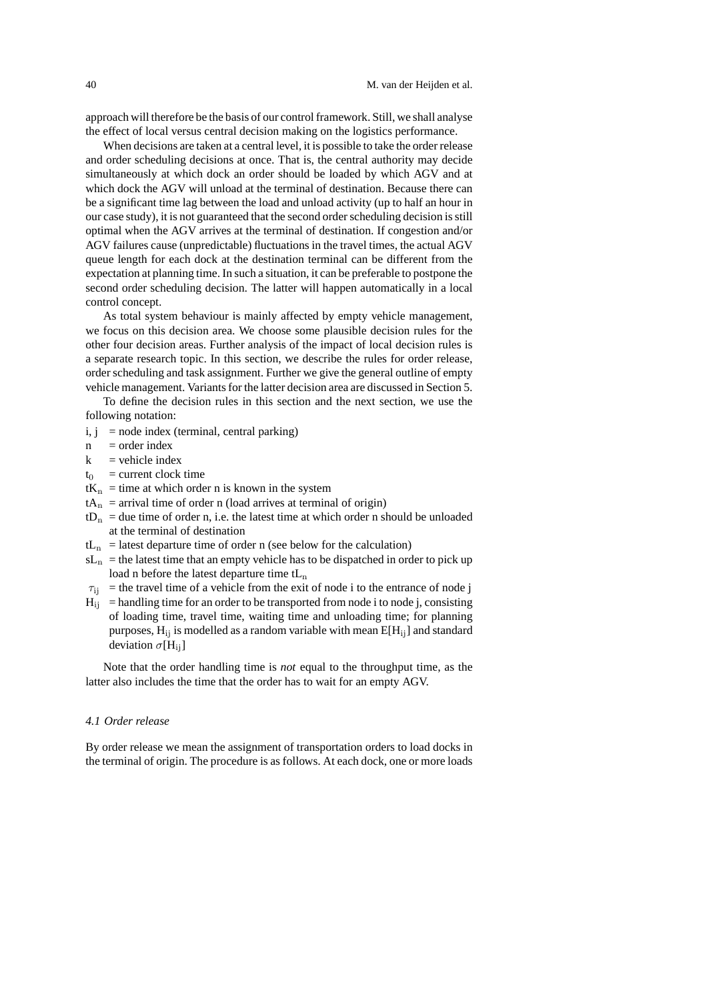approach will therefore be the basis of our control framework. Still, we shall analyse the effect of local versus central decision making on the logistics performance.

When decisions are taken at a central level, it is possible to take the order release and order scheduling decisions at once. That is, the central authoritymaydecide simultaneouslyat which dock an order should be loaded bywhich AGV and at which dock the AGV will unload at the terminal of destination. Because there can be a significant time lag between the load and unload activity(up to half an hour in our case study), it is not guaranteed that the second order scheduling decision is still optimal when the AGV arrives at the terminal of destination. If congestion and/or AGV failures cause (unpredictable) fluctuations in the travel times, the actual AGV queue length for each dock at the destination terminal can be different from the expectation at planning time. In such a situation, it can be preferable to postpone the second order scheduling decision. The latter will happen automatically in a local control concept.

As total system behaviour is mainly affected by empty vehicle management, we focus on this decision area. We choose some plausible decision rules for the other four decision areas. Further analysis of the impact of local decision rules is a separate research topic. In this section, we describe the rules for order release, order scheduling and task assignment. Further we give the general outline of empty vehicle management. Variants for the latter decision area are discussed in Section 5.

To define the decision rules in this section and the next section, we use the following notation:

- $i, j$  = node index (terminal, central parking)
- $n = order index$
- $k =$  vehicle index
- $t_0$  = current clock time
- $tK_n$  = time at which order n is known in the system
- $tA_n$  = arrival time of order n (load arrives at terminal of origin)
- $tD_n$  = due time of order n, i.e. the latest time at which order n should be unloaded at the terminal of destination
- $tL_n$  = latest departure time of order n (see below for the calculation)
- $sL_n$  = the latest time that an empty vehicle has to be dispatched in order to pick up load n before the latest departure time  $tL_n$
- $\tau_{ii}$  = the travel time of a vehicle from the exit of node i to the entrance of node j
- $H_{ii}$  = handling time for an order to be transported from node i to node j, consisting of loading time, travel time, waiting time and unloading time; for planning purposes,  $H_{ii}$  is modelled as a random variable with mean  $E[H_{ii}]$  and standard deviation  $\sigma[H_{ii}]$

Note that the order handling time is *not* equal to the throughput time, as the latter also includes the time that the order has to wait for an empty AGV.

#### *4.1 Order release*

Byorder release we mean the assignment of transportation orders to load docks in the terminal of origin. The procedure is as follows. At each dock, one or more loads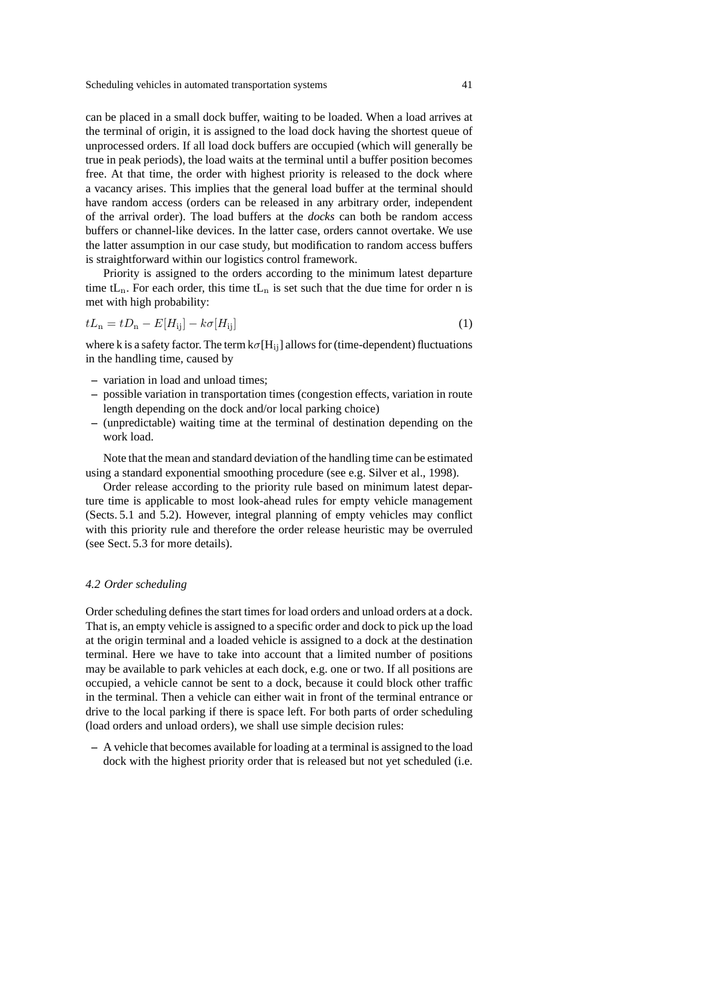can be placed in a small dock buffer, waiting to be loaded. When a load arrives at the terminal of origin, it is assigned to the load dock having the shortest queue of unprocessed orders. If all load dock buffers are occupied (which will generallybe true in peak periods), the load waits at the terminal until a buffer position becomes free. At that time, the order with highest priority is released to the dock where a vacancyarises. This implies that the general load buffer at the terminal should have random access (orders can be released in any arbitrary order, independent of the arrival order). The load buffers at the *docks* can both be random access buffers or channel-like devices. In the latter case, orders cannot overtake. We use the latter assumption in our case study, but modification to random access buffers is straightforward within our logistics control framework.

Priority is assigned to the orders according to the minimum latest departure time tL<sub>n</sub>. For each order, this time tL<sub>n</sub> is set such that the due time for order n is met with high probability:

$$
tL_{\rm n} = tD_{\rm n} - E[H_{\rm ij}] - k\sigma[H_{\rm ij}] \tag{1}
$$

where k is a safety factor. The term  $k\sigma[H_{ii}]$  allows for (time-dependent) fluctuations in the handling time, caused by

- **–** variation in load and unload times;
- **–** possible variation in transportation times (congestion effects, variation in route length depending on the dock and/or local parking choice)
- **–** (unpredictable) waiting time at the terminal of destination depending on the work load.

Note that the mean and standard deviation of the handling time can be estimated using a standard exponential smoothing procedure (see e.g. Silver et al., 1998).

Order release according to the priority rule based on minimum latest departure time is applicable to most look-ahead rules for empty vehicle management (Sects. 5.1 and 5.2). However, integral planning of empty vehicles may conflict with this priority rule and therefore the order release heuristic may be overruled (see Sect. 5.3 for more details).

#### *4.2 Order scheduling*

Order scheduling defines the start times for load orders and unload orders at a dock. That is, an empty vehicle is assigned to a specific order and dock to pick up the load at the origin terminal and a loaded vehicle is assigned to a dock at the destination terminal. Here we have to take into account that a limited number of positions maybe available to park vehicles at each dock, e.g. one or two. If all positions are occupied, a vehicle cannot be sent to a dock, because it could block other traffic in the terminal. Then a vehicle can either wait in front of the terminal entrance or drive to the local parking if there is space left. For both parts of order scheduling (load orders and unload orders), we shall use simple decision rules:

**–** A vehicle that becomes available for loading at a terminal is assigned to the load dock with the highest priority order that is released but not yet scheduled (i.e.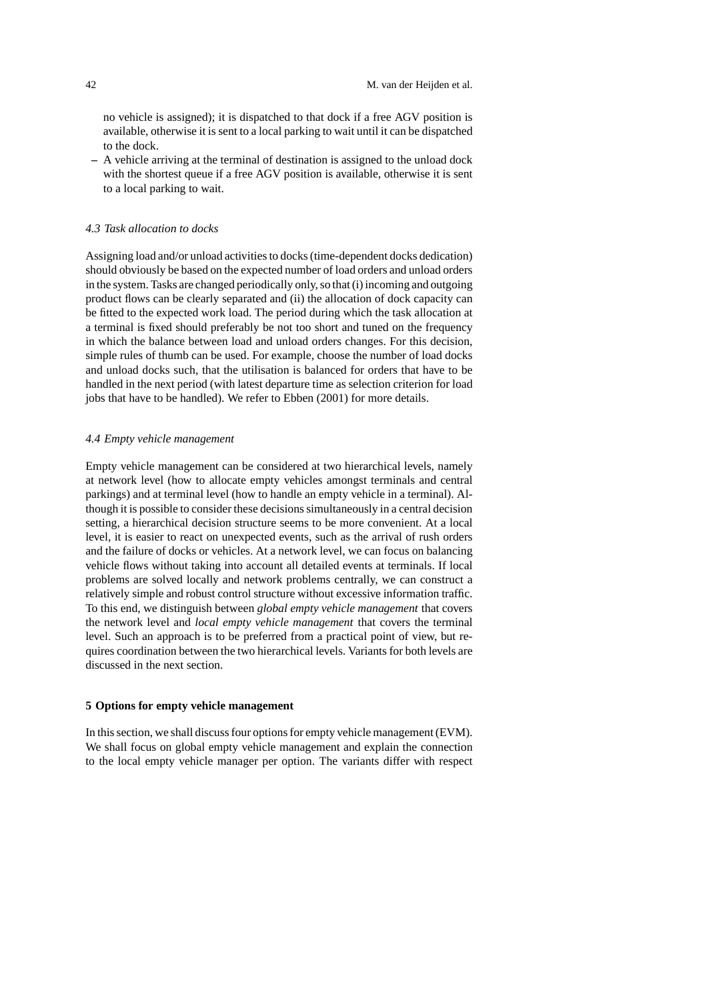no vehicle is assigned); it is dispatched to that dock if a free AGV position is available, otherwise it is sent to a local parking to wait until it can be dispatched to the dock.

**–** A vehicle arriving at the terminal of destination is assigned to the unload dock with the shortest queue if a free AGV position is available, otherwise it is sent to a local parking to wait.

#### *4.3 Task allocation to docks*

Assigning load and/or unload activities to docks (time-dependent docks dedication) should obviouslybe based on the expected number of load orders and unload orders in the system. Tasks are changed periodically only, so that (i) incoming and outgoing product flows can be clearly separated and (ii) the allocation of dock capacity can be fitted to the expected work load. The period during which the task allocation at a terminal is fixed should preferably be not too short and tuned on the frequency in which the balance between load and unload orders changes. For this decision, simple rules of thumb can be used. For example, choose the number of load docks and unload docks such, that the utilisation is balanced for orders that have to be handled in the next period (with latest departure time as selection criterion for load jobs that have to be handled). We refer to Ebben (2001) for more details.

#### *4.4 Empty vehicle management*

Empty vehicle management can be considered at two hierarchical levels, namely at network level (how to allocate empty vehicles amongst terminals and central parkings) and at terminal level (how to handle an emptyvehicle in a terminal). Although it is possible to consider these decisions simultaneouslyin a central decision setting, a hierarchical decision structure seems to be more convenient. At a local level, it is easier to react on unexpected events, such as the arrival of rush orders and the failure of docks or vehicles. At a network level, we can focus on balancing vehicle flows without taking into account all detailed events at terminals. If local problems are solved locallyand network problems centrally, we can construct a relativelysimple and robust control structure without excessive information traffic. To this end, we distinguish between *global empty vehicle management* that covers the network level and *local empty vehicle management* that covers the terminal level. Such an approach is to be preferred from a practical point of view, but requires coordination between the two hierarchical levels. Variants for both levels are discussed in the next section.

#### **5 Options for empty vehicle management**

In this section, we shall discuss four options for empty vehicle management (EVM). We shall focus on global empty vehicle management and explain the connection to the local empty vehicle manager per option. The variants differ with respect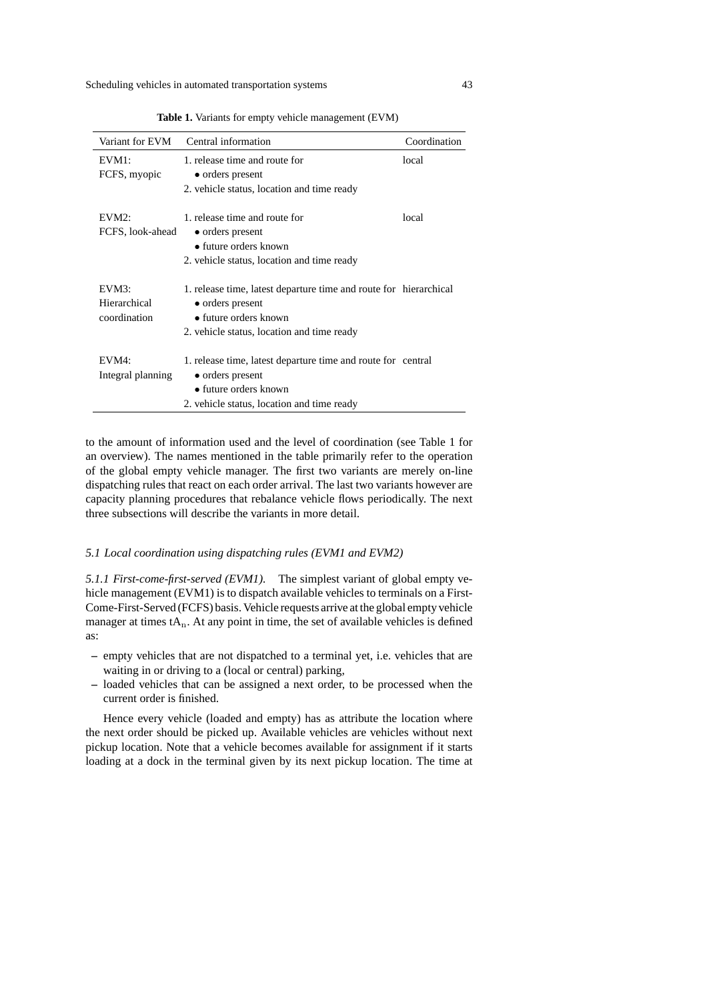| Variant for EVM                        | Central information                                                                                                                                                  | Coordination |
|----------------------------------------|----------------------------------------------------------------------------------------------------------------------------------------------------------------------|--------------|
| EVM1:<br>FCFS, myopic                  | 1. release time and route for<br>• orders present<br>2. vehicle status, location and time ready                                                                      | local        |
| EVM <sub>2</sub> :<br>FCFS, look-ahead | 1. release time and route for<br>• orders present<br>$\bullet$ future orders known<br>2. vehicle status, location and time ready                                     | local        |
| EVM3:<br>Hierarchical<br>coordination  | 1. release time, latest departure time and route for hierarchical<br>• orders present<br>$\bullet$ future orders known<br>2. vehicle status, location and time ready |              |
| EVM4:<br>Integral planning             | 1. release time, latest departure time and route for central<br>• orders present<br>$\bullet$ future orders known<br>2. vehicle status, location and time ready      |              |

Table 1. Variants for empty vehicle management (EVM)

to the amount of information used and the level of coordination (see Table 1 for an overview). The names mentioned in the table primarily refer to the operation of the global empty vehicle manager. The first two variants are merely on-line dispatching rules that react on each order arrival. The last two variants however are capacity planning procedures that rebalance vehicle flows periodically. The next three subsections will describe the variants in more detail.

#### *5.1 Local coordination using dispatching rules (EVM1 and EVM2)*

*5.1.1 First-come-first-served (EVM1).* The simplest variant of global empty vehicle management (EVM1) is to dispatch available vehicles to terminals on a First-Come-First-Served (FCFS) basis. Vehicle requests arrive at the global emptyvehicle manager at times  $tA_n$ . At any point in time, the set of available vehicles is defined as:

- **–** emptyvehicles that are not dispatched to a terminal yet, i.e. vehicles that are waiting in or driving to a (local or central) parking,
- **–** loaded vehicles that can be assigned a next order, to be processed when the current order is finished.

Hence every vehicle (loaded and empty) has as attribute the location where the next order should be picked up. Available vehicles are vehicles without next pickup location. Note that a vehicle becomes available for assignment if it starts loading at a dock in the terminal given by its next pickup location. The time at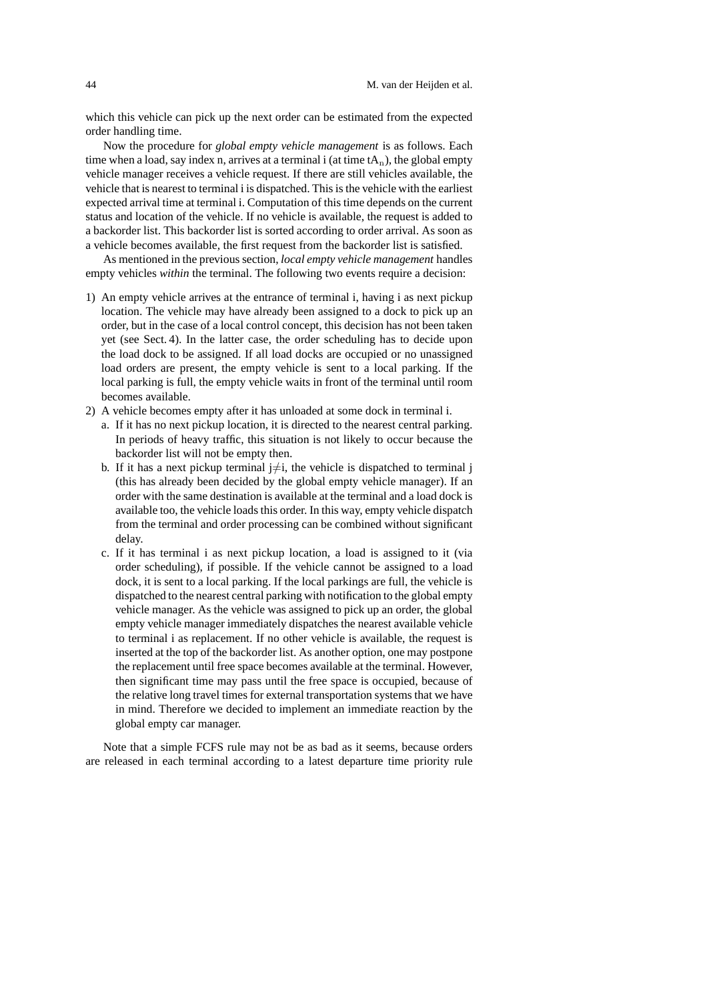which this vehicle can pick up the next order can be estimated from the expected order handling time.

Now the procedure for *global empty vehicle management* is as follows. Each time when a load, say index n, arrives at a terminal i (at time  $(A_n)$ ), the global empty vehicle manager receives a vehicle request. If there are still vehicles available, the vehicle that is nearest to terminal i is dispatched. This is the vehicle with the earliest expected arrival time at terminal i. Computation of this time depends on the current status and location of the vehicle. If no vehicle is available, the request is added to a backorder list. This backorder list is sorted according to order arrival. As soon as a vehicle becomes available, the first request from the backorder list is satisfied.

As mentioned in the previous section, *local empty vehicle management* handles empty vehicles *within* the terminal. The following two events require a decision:

- 1) An empty vehicle arrives at the entrance of terminal i, having i as next pickup location. The vehicle may have already been assigned to a dock to pick up an order, but in the case of a local control concept, this decision has not been taken yet (see Sect. 4). In the latter case, the order scheduling has to decide upon the load dock to be assigned. If all load docks are occupied or no unassigned load orders are present, the empty vehicle is sent to a local parking. If the local parking is full, the empty vehicle waits in front of the terminal until room becomes available.
- 2) A vehicle becomes emptyafter it has unloaded at some dock in terminal i.
	- a. If it has no next pickup location, it is directed to the nearest central parking. In periods of heavy traffic, this situation is not likely to occur because the backorder list will not be empty then.
	- b. If it has a next pickup terminal  $j\neq i$ , the vehicle is dispatched to terminal j (this has already been decided by the global empty vehicle manager). If an order with the same destination is available at the terminal and a load dock is available too, the vehicle loads this order. In this way, empty vehicle dispatch from the terminal and order processing can be combined without significant delay.
	- c. If it has terminal i as next pickup location, a load is assigned to it (via order scheduling), if possible. If the vehicle cannot be assigned to a load dock, it is sent to a local parking. If the local parkings are full, the vehicle is dispatched to the nearest central parking with notification to the global empty vehicle manager. As the vehicle was assigned to pick up an order, the global empty vehicle manager immediately dispatches the nearest available vehicle to terminal i as replacement. If no other vehicle is available, the request is inserted at the top of the backorder list. As another option, one maypostpone the replacement until free space becomes available at the terminal. However, then significant time maypass until the free space is occupied, because of the relative long travel times for external transportation systems that we have in mind. Therefore we decided to implement an immediate reaction by the global empty car manager.

Note that a simple FCFS rule maynot be as bad as it seems, because orders are released in each terminal according to a latest departure time priority rule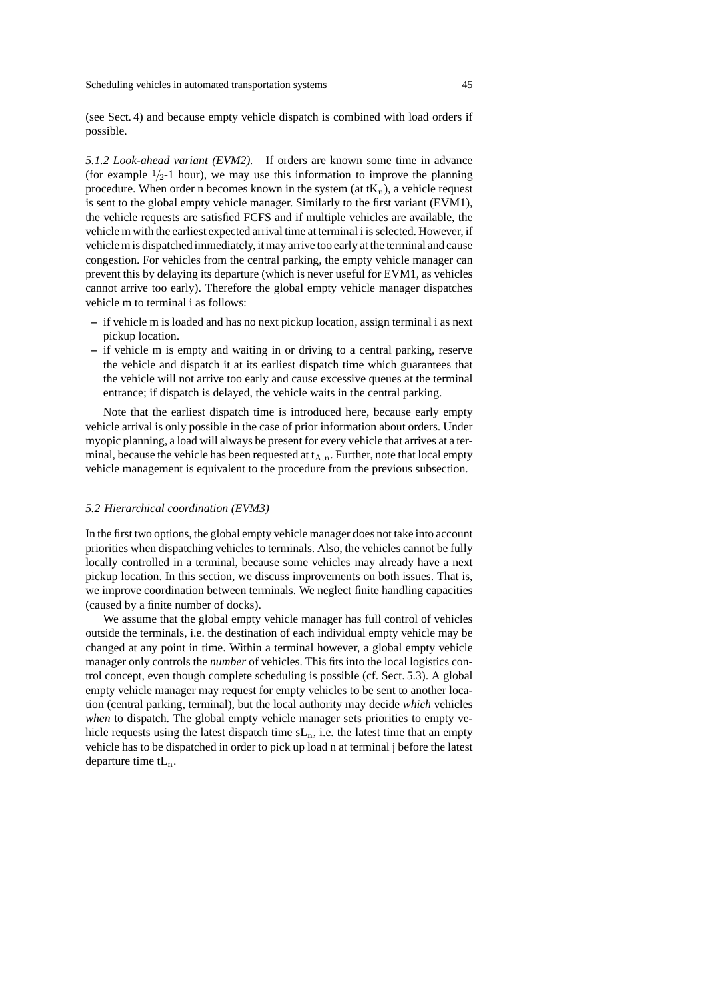(see Sect. 4) and because empty vehicle dispatch is combined with load orders if possible.

*5.1.2 Look-ahead variant (EVM2).* If orders are known some time in advance (for example  $1/2-1$  hour), we may use this information to improve the planning procedure. When order n becomes known in the system (at  $tK_n$ ), a vehicle request is sent to the global empty vehicle manager. Similarly to the first variant (EVM1), the vehicle requests are satisfied FCFS and if multiple vehicles are available, the vehicle m with the earliest expected arrival time at terminal i is selected. However, if vehicle m is dispatched immediately, it mayarrive too earlyat the terminal and cause congestion. For vehicles from the central parking, the empty vehicle manager can prevent this bydelaying its departure (which is never useful for EVM1, as vehicles cannot arrive too early). Therefore the global empty vehicle manager dispatches vehicle m to terminal i as follows:

- **–** if vehicle m is loaded and has no next pickup location, assign terminal i as next pickup location.
- **–** if vehicle m is emptyand waiting in or driving to a central parking, reserve the vehicle and dispatch it at its earliest dispatch time which guarantees that the vehicle will not arrive too earlyand cause excessive queues at the terminal entrance; if dispatch is delayed, the vehicle waits in the central parking.

Note that the earliest dispatch time is introduced here, because early empty vehicle arrival is only possible in the case of prior information about orders. Under myopic planning, a load will always be present for every vehicle that arrives at a terminal, because the vehicle has been requested at  $t_{A,n}$ . Further, note that local empty vehicle management is equivalent to the procedure from the previous subsection.

#### *5.2 Hierarchical coordination (EVM3)*

In the first two options, the global empty vehicle manager does not take into account priorities when dispatching vehicles to terminals. Also, the vehicles cannot be fully locally controlled in a terminal, because some vehicles may already have a next pickup location. In this section, we discuss improvements on both issues. That is, we improve coordination between terminals. We neglect finite handling capacities (caused bya finite number of docks).

We assume that the global empty vehicle manager has full control of vehicles outside the terminals, i.e. the destination of each individual empty vehicle may be changed at anypoint in time. Within a terminal however, a global emptyvehicle manager onlycontrols the *number* of vehicles. This fits into the local logistics control concept, even though complete scheduling is possible (cf. Sect. 5.3). A global empty vehicle manager may request for empty vehicles to be sent to another location (central parking, terminal), but the local authoritymaydecide *which* vehicles *when* to dispatch. The global empty vehicle manager sets priorities to empty vehicle requests using the latest dispatch time  $sL_n$ , i.e. the latest time that an empty vehicle has to be dispatched in order to pick up load n at terminal j before the latest departure time  $t_{\text{L}_n}$ .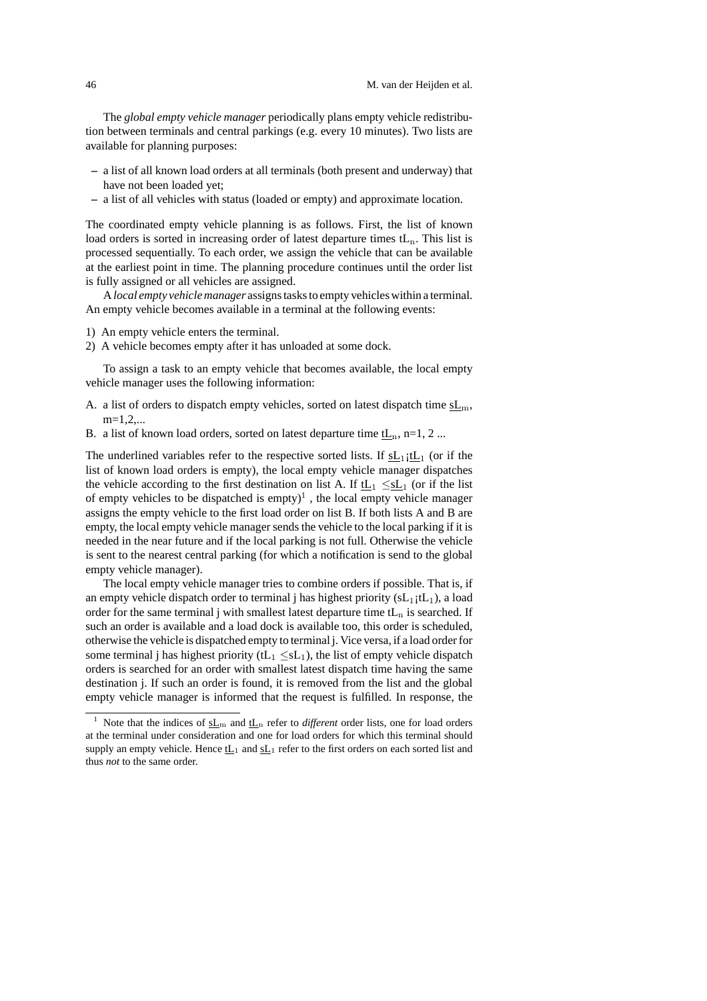The *global empty vehicle manager* periodically plans empty vehicle redistribution between terminals and central parkings (e.g. every10 minutes). Two lists are available for planning purposes:

- **–** a list of all known load orders at all terminals (both present and underway) that have not been loaded yet;
- **–** a list of all vehicles with status (loaded or empty) and approximate location.

The coordinated empty vehicle planning is as follows. First, the list of known load orders is sorted in increasing order of latest departure times  $tL_n$ . This list is processed sequentially. To each order, we assign the vehicle that can be available at the earliest point in time. The planning procedure continues until the order list is fully assigned or all vehicles are assigned.

A*local empty vehicle manager* assigns tasks to emptyvehicles within a terminal. An empty vehicle becomes available in a terminal at the following events:

- 1) An empty vehicle enters the terminal.
- 2) A vehicle becomes emptyafter it has unloaded at some dock.

To assign a task to an empty vehicle that becomes available, the local empty vehicle manager uses the following information:

- A. a list of orders to dispatch empty vehicles, sorted on latest dispatch time  $sL_m$ ,  $m=1,2,...$
- B. a list of known load orders, sorted on latest departure time  $tL_n$ , n=1, 2 ...

The underlined variables refer to the respective sorted lists. If  $sL_1$ ; t $L_1$  (or if the list of known load orders is empty), the local empty vehicle manager dispatches the vehicle according to the first destination on list A. If tL<sub>1</sub>  $\leq$ sL<sub>1</sub> (or if the list of empty vehicles to be dispatched is empty)<sup>1</sup>, the local empty vehicle manager assigns the empty vehicle to the first load order on list B. If both lists A and B are empty, the local empty vehicle manager sends the vehicle to the local parking if it is needed in the near future and if the local parking is not full. Otherwise the vehicle is sent to the nearest central parking (for which a notification is send to the global empty vehicle manager).

The local empty vehicle manager tries to combine orders if possible. That is, if an empty vehicle dispatch order to terminal j has highest priority ( $sL_1$ ; $tL_1$ ), a load order for the same terminal j with smallest latest departure time  $t_{\text{L}_n}$  is searched. If such an order is available and a load dock is available too, this order is scheduled, otherwise the vehicle is dispatched emptyto terminal j. Vice versa, if a load order for some terminal j has highest priority (tL<sub>1</sub>  $\leq$ sL<sub>1</sub>), the list of empty vehicle dispatch orders is searched for an order with smallest latest dispatch time having the same destination j. If such an order is found, it is removed from the list and the global empty vehicle manager is informed that the request is fulfilled. In response, the

<sup>&</sup>lt;sup>1</sup> Note that the indices of  $\underline{s}L_m$  and  $\underline{t}L_n$  refer to *different* order lists, one for load orders at the terminal under consideration and one for load orders for which this terminal should supply an empty vehicle. Hence  $tL_1$  and  $sL_1$  refer to the first orders on each sorted list and thus *not* to the same order.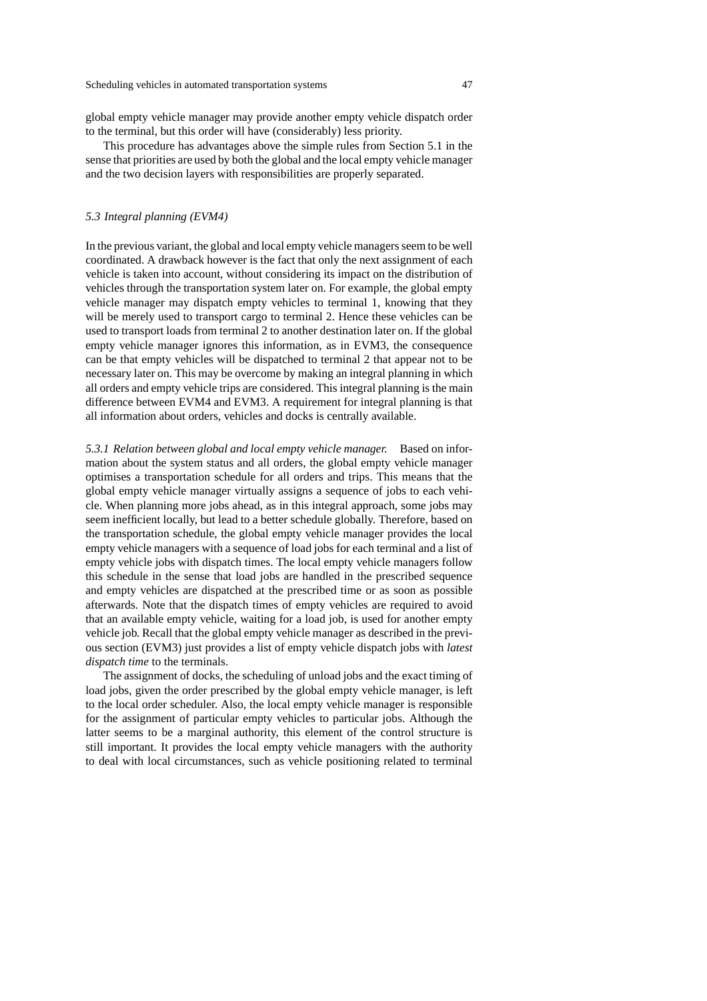This procedure has advantages above the simple rules from Section 5.1 in the sense that priorities are used byboth the global and the local emptyvehicle manager and the two decision layers with responsibilities are properly separated.

#### *5.3 Integral planning (EVM4)*

In the previous variant, the global and local empty vehicle managers seem to be well coordinated. A drawback however is the fact that onlythe next assignment of each vehicle is taken into account, without considering its impact on the distribution of vehicles through the transportation system later on. For example, the global empty vehicle manager may dispatch empty vehicles to terminal 1, knowing that they will be merely used to transport cargo to terminal 2. Hence these vehicles can be used to transport loads from terminal 2 to another destination later on. If the global empty vehicle manager ignores this information, as in EVM3, the consequence can be that empty vehicles will be dispatched to terminal 2 that appear not to be necessarylater on. This maybe overcome bymaking an integral planning in which all orders and empty vehicle trips are considered. This integral planning is the main difference between EVM4 and EVM3. A requirement for integral planning is that all information about orders, vehicles and docks is centrally available.

*5.3.1 Relation between global and local empty vehicle manager.* Based on information about the system status and all orders, the global empty vehicle manager optimises a transportation schedule for all orders and trips. This means that the global empty vehicle manager virtually assigns a sequence of jobs to each vehicle. When planning more jobs ahead, as in this integral approach, some jobs may seem inefficient locally, but lead to a better schedule globally. Therefore, based on the transportation schedule, the global emptyvehicle manager provides the local empty vehicle managers with a sequence of load jobs for each terminal and a list of empty vehicle jobs with dispatch times. The local empty vehicle managers follow this schedule in the sense that load jobs are handled in the prescribed sequence and emptyvehicles are dispatched at the prescribed time or as soon as possible afterwards. Note that the dispatch times of empty vehicles are required to avoid that an available empty vehicle, waiting for a load job, is used for another empty vehicle job. Recall that the global emptyvehicle manager as described in the previous section (EVM3) just provides a list of empty vehicle dispatch jobs with *latest dispatch time* to the terminals.

The assignment of docks, the scheduling of unload jobs and the exact timing of load jobs, given the order prescribed by the global empty vehicle manager, is left to the local order scheduler. Also, the local empty vehicle manager is responsible for the assignment of particular empty vehicles to particular jobs. Although the latter seems to be a marginal authority, this element of the control structure is still important. It provides the local empty vehicle managers with the authority to deal with local circumstances, such as vehicle positioning related to terminal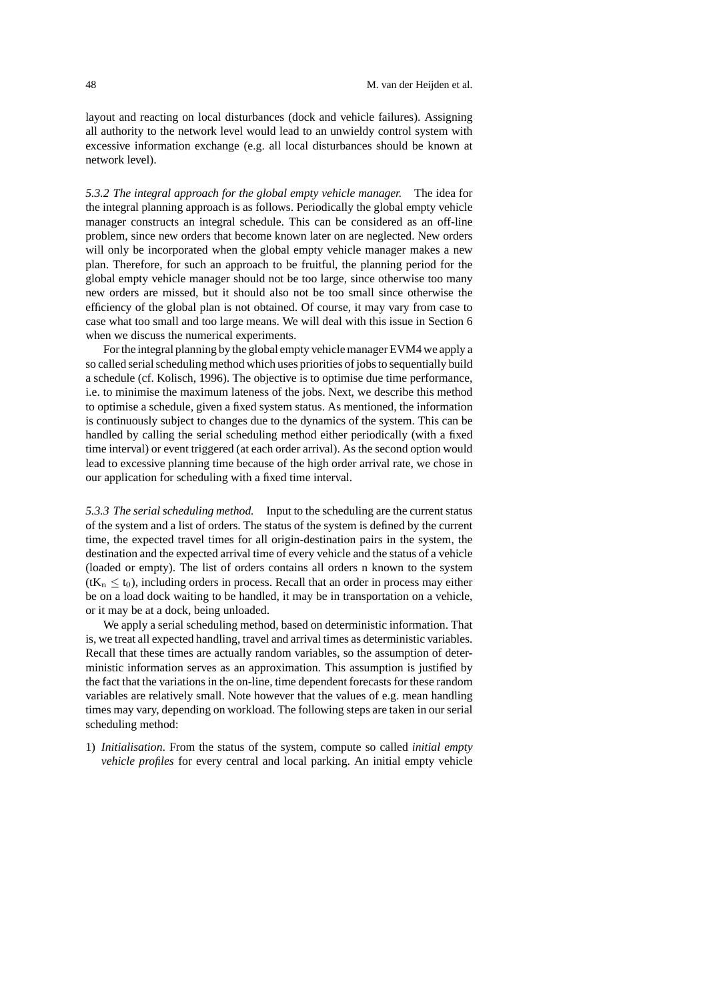layout and reacting on local disturbances (dock and vehicle failures). Assigning all authority to the network level would lead to an unwieldy control system with excessive information exchange (e.g. all local disturbances should be known at network level).

*5.3.2 The integral approach for the global empty vehicle manager.* The idea for the integral planning approach is as follows. Periodically the global empty vehicle manager constructs an integral schedule. This can be considered as an off-line problem, since new orders that become known later on are neglected. New orders will only be incorporated when the global empty vehicle manager makes a new plan. Therefore, for such an approach to be fruitful, the planning period for the global empty vehicle manager should not be too large, since otherwise too many new orders are missed, but it should also not be too small since otherwise the efficiency of the global plan is not obtained. Of course, it may vary from case to case what too small and too large means. We will deal with this issue in Section 6 when we discuss the numerical experiments.

For the integral planning by the global empty vehicle manager EVM4 we apply a so called serial scheduling method which uses priorities of jobs to sequentiallybuild a schedule (cf. Kolisch, 1996). The objective is to optimise due time performance, i.e. to minimise the maximum lateness of the jobs. Next, we describe this method to optimise a schedule, given a fixed system status. As mentioned, the information is continuously subject to changes due to the dynamics of the system. This can be handled bycalling the serial scheduling method either periodically(with a fixed time interval) or event triggered (at each order arrival). As the second option would lead to excessive planning time because of the high order arrival rate, we chose in our application for scheduling with a fixed time interval.

*5.3.3 The serial scheduling method.* Input to the scheduling are the current status of the system and a list of orders. The status of the system is defined by the current time, the expected travel times for all origin-destination pairs in the system, the destination and the expected arrival time of every vehicle and the status of a vehicle (loaded or empty). The list of orders contains all orders n known to the system (tK<sup>n</sup> ≤ t0), including orders in process. Recall that an order in process mayeither be on a load dock waiting to be handled, it may be in transportation on a vehicle, or it maybe at a dock, being unloaded.

We apply a serial scheduling method, based on deterministic information. That is, we treat all expected handling, travel and arrival times as deterministic variables. Recall that these times are actually random variables, so the assumption of deterministic information serves as an approximation. This assumption is justified by the fact that the variations in the on-line, time dependent forecasts for these random variables are relativelysmall. Note however that the values of e.g. mean handling times mayvary, depending on workload. The following steps are taken in our serial scheduling method:

1) *Initialisation*. From the status of the system, compute so called *initial empty vehicle profiles* for every central and local parking. An initial empty vehicle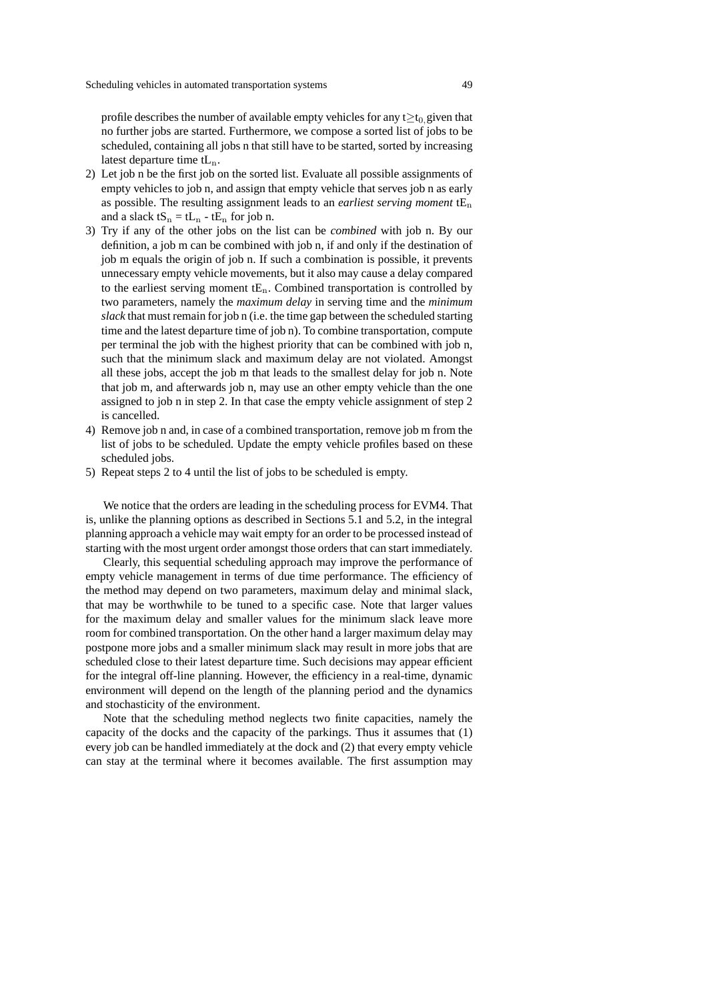profile describes the number of available empty vehicles for any t $\geq t_0$  given that no further jobs are started. Furthermore, we compose a sorted list of jobs to be scheduled, containing all jobs n that still have to be started, sorted by increasing latest departure time  $tL_n$ .

- 2) Let job n be the first job on the sorted list. Evaluate all possible assignments of empty vehicles to job n, and assign that empty vehicle that serves job n as early as possible. The resulting assignment leads to an *earliest serving moment*  $tE_n$ and a slack  $tS_n = tL_n - tE_n$  for job n.
- 3) Tryif anyof the other jobs on the list can be *combined* with job n. Byour definition, a job m can be combined with job n, if and only if the destination of job m equals the origin of job n. If such a combination is possible, it prevents unnecessaryemptyvehicle movements, but it also maycause a delaycompared to the earliest serving moment  $tE_n$ . Combined transportation is controlled by two parameters, namely the *maximum delay* in serving time and the *minimum slack* that must remain for job n (i.e. the time gap between the scheduled starting time and the latest departure time of job n). To combine transportation, compute per terminal the job with the highest priority that can be combined with job n, such that the minimum slack and maximum delayare not violated. Amongst all these jobs, accept the job m that leads to the smallest delayfor job n. Note that job m, and afterwards job n, may use an other empty vehicle than the one assigned to job n in step 2. In that case the empty vehicle assignment of step 2 is cancelled.
- 4) Remove job n and, in case of a combined transportation, remove job m from the list of jobs to be scheduled. Update the empty vehicle profiles based on these scheduled jobs.
- 5) Repeat steps 2 to 4 until the list of jobs to be scheduled is empty.

We notice that the orders are leading in the scheduling process for EVM4. That is, unlike the planning options as described in Sections 5.1 and 5.2, in the integral planning approach a vehicle maywait emptyfor an order to be processed instead of starting with the most urgent order amongst those orders that can start immediately.

Clearly, this sequential scheduling approach may improve the performance of empty vehicle management in terms of due time performance. The efficiency of the method maydepend on two parameters, maximum delayand minimal slack, that maybe worthwhile to be tuned to a specific case. Note that larger values for the maximum delay and smaller values for the minimum slack leave more room for combined transportation. On the other hand a larger maximum delaymay postpone more jobs and a smaller minimum slack mayresult in more jobs that are scheduled close to their latest departure time. Such decisions mayappear efficient for the integral off-line planning. However, the efficiency in a real-time, dynamic environment will depend on the length of the planning period and the dynamics and stochasticity of the environment.

Note that the scheduling method neglects two finite capacities, namely the capacity of the docks and the capacity of the parkings. Thus it assumes that  $(1)$ every job can be handled immediately at the dock and (2) that every empty vehicle can stayat the terminal where it becomes available. The first assumption may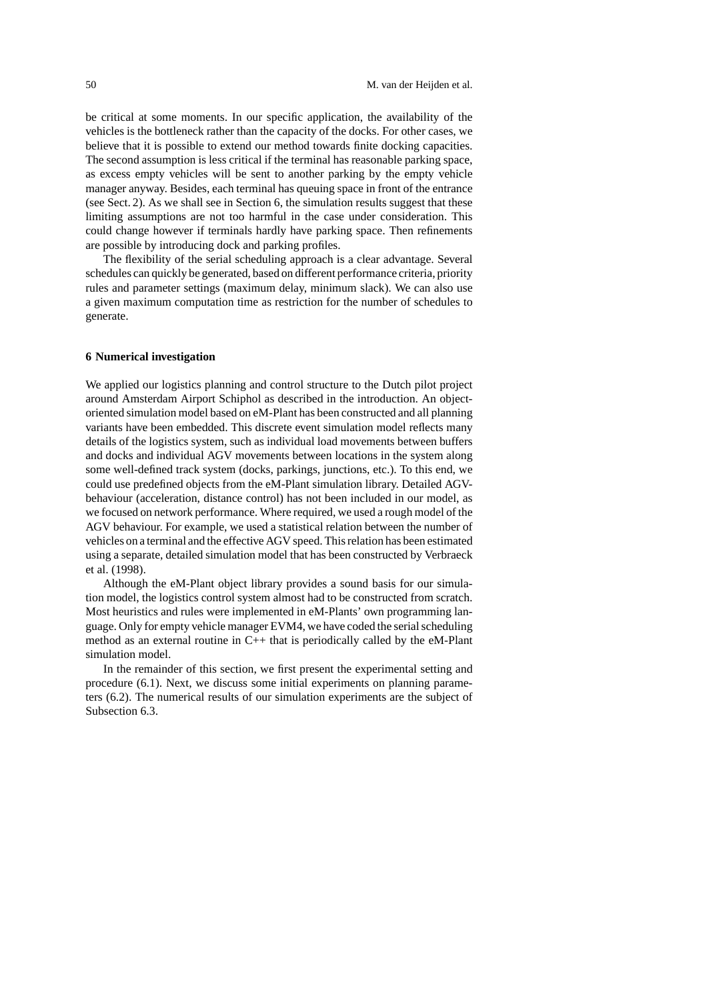be critical at some moments. In our specific application, the availability of the vehicles is the bottleneck rather than the capacityof the docks. For other cases, we believe that it is possible to extend our method towards finite docking capacities. The second assumption is less critical if the terminal has reasonable parking space, as excess empty vehicles will be sent to another parking by the empty vehicle manager anyway. Besides, each terminal has queuing space in front of the entrance (see Sect. 2). As we shall see in Section 6, the simulation results suggest that these limiting assumptions are not too harmful in the case under consideration. This could change however if terminals hardly have parking space. Then refinements are possible by introducing dock and parking profiles.

The flexibility of the serial scheduling approach is a clear advantage. Several schedules can quicklybe generated, based on different performance criteria, priority rules and parameter settings (maximum delay, minimum slack). We can also use a given maximum computation time as restriction for the number of schedules to generate.

#### **6 Numerical investigation**

We applied our logistics planning and control structure to the Dutch pilot project around Amsterdam Airport Schiphol as described in the introduction. An objectoriented simulation model based on eM-Plant has been constructed and all planning variants have been embedded. This discrete event simulation model reflects many details of the logistics system, such as individual load movements between buffers and docks and individual AGV movements between locations in the system along some well-defined track system (docks, parkings, junctions, etc.). To this end, we could use predefined objects from the eM-Plant simulation library. Detailed AGVbehaviour (acceleration, distance control) has not been included in our model, as we focused on network performance. Where required, we used a rough model of the AGV behaviour. For example, we used a statistical relation between the number of vehicles on a terminal and the effective AGV speed. This relation has been estimated using a separate, detailed simulation model that has been constructed by Verbraeck et al. (1998).

Although the eM-Plant object library provides a sound basis for our simulation model, the logistics control system almost had to be constructed from scratch. Most heuristics and rules were implemented in eM-Plants' own programming language. Onlyfor emptyvehicle manager EVM4, we have coded the serial scheduling method as an external routine in  $C_{++}$  that is periodically called by the eM-Plant simulation model.

In the remainder of this section, we first present the experimental setting and procedure (6.1). Next, we discuss some initial experiments on planning parameters (6.2). The numerical results of our simulation experiments are the subject of Subsection 6.3.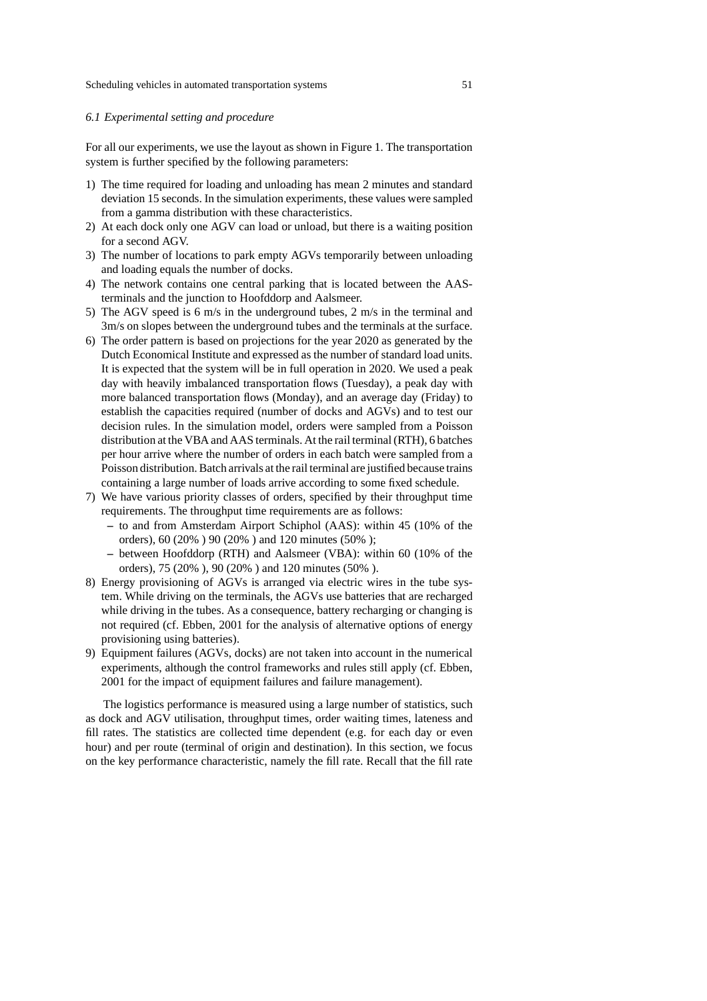#### *6.1 Experimental setting and procedure*

For all our experiments, we use the layout as shown in Figure 1. The transportation system is further specified by the following parameters:

- 1) The time required for loading and unloading has mean 2 minutes and standard deviation 15 seconds. In the simulation experiments, these values were sampled from a gamma distribution with these characteristics.
- 2) At each dock only one AGV can load or unload, but there is a waiting position for a second AGV.
- 3) The number of locations to park empty AGVs temporarily between unloading and loading equals the number of docks.
- 4) The network contains one central parking that is located between the AASterminals and the junction to Hoofddorp and Aalsmeer.
- 5) The AGV speed is 6 m/s in the underground tubes, 2 m/s in the terminal and 3m/s on slopes between the underground tubes and the terminals at the surface.
- 6) The order pattern is based on projections for the year 2020 as generated by the Dutch Economical Institute and expressed as the number of standard load units. It is expected that the system will be in full operation in 2020. We used a peak day with heavily imbalanced transportation flows (Tuesday), a peak day with more balanced transportation flows (Monday), and an average day (Friday) to establish the capacities required (number of docks and AGVs) and to test our decision rules. In the simulation model, orders were sampled from a Poisson distribution at the VBA and AAS terminals. At the rail terminal (RTH), 6 batches per hour arrive where the number of orders in each batch were sampled from a Poisson distribution. Batch arrivals at the rail terminal are justified because trains containing a large number of loads arrive according to some fixed schedule.
- 7) We have various priorityclasses of orders, specified bytheir throughput time requirements. The throughput time requirements are as follows:
	- **–** to and from Amsterdam Airport Schiphol (AAS): within 45 (10% of the orders), 60 (20% ) 90 (20% ) and 120 minutes (50% );
	- **–** between Hoofddorp (RTH) and Aalsmeer (VBA): within 60 (10% of the orders), 75 (20% ), 90 (20% ) and 120 minutes (50% ).
- 8) Energy provisioning of AGVs is arranged via electric wires in the tube system. While driving on the terminals, the AGVs use batteries that are recharged while driving in the tubes. As a consequence, battery recharging or changing is not required (cf. Ebben, 2001 for the analysis of alternative options of energy provisioning using batteries).
- 9) Equipment failures (AGVs, docks) are not taken into account in the numerical experiments, although the control frameworks and rules still apply(cf. Ebben, 2001 for the impact of equipment failures and failure management).

The logistics performance is measured using a large number of statistics, such as dock and AGV utilisation, throughput times, order waiting times, lateness and fill rates. The statistics are collected time dependent (e.g. for each dayor even hour) and per route (terminal of origin and destination). In this section, we focus on the key performance characteristic, namely the fill rate. Recall that the fill rate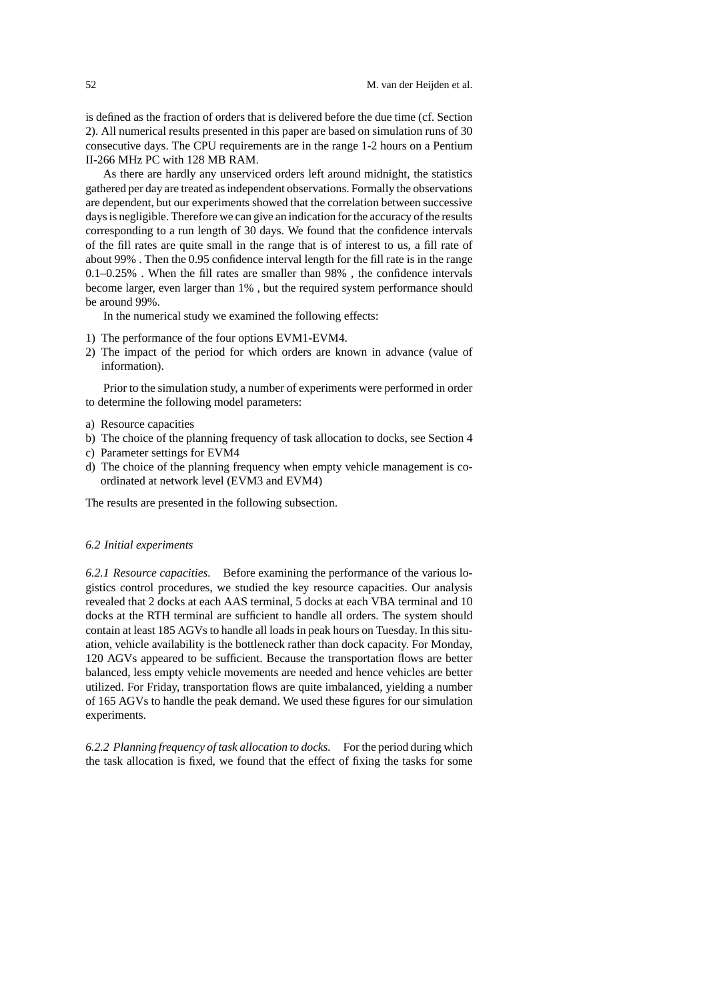is defined as the fraction of orders that is delivered before the due time (cf. Section 2). All numerical results presented in this paper are based on simulation runs of 30 consecutive days. The CPU requirements are in the range 1-2 hours on a Pentium II-266 MHz PC with 128 MB RAM.

As there are hardly any unserviced orders left around midnight, the statistics gathered per dayare treated as independent observations. Formallythe observations are dependent, but our experiments showed that the correlation between successive days is negligible. Therefore we can give an indication for the accuracy of the results corresponding to a run length of 30 days. We found that the confidence intervals of the fill rates are quite small in the range that is of interest to us, a fill rate of about 99% . Then the 0.95 confidence interval length for the fill rate is in the range 0.1–0.25% . When the fill rates are smaller than 98% , the confidence intervals become larger, even larger than 1% , but the required system performance should be around 99%.

In the numerical study we examined the following effects:

- 1) The performance of the four options EVM1-EVM4.
- 2) The impact of the period for which orders are known in advance (value of information).

Prior to the simulation study, a number of experiments were performed in order to determine the following model parameters:

- a) Resource capacities
- b) The choice of the planning frequency of task allocation to docks, see Section 4
- c) Parameter settings for EVM4
- d) The choice of the planning frequency when empty vehicle management is coordinated at network level (EVM3 and EVM4)

The results are presented in the following subsection.

#### *6.2 Initial experiments*

*6.2.1 Resource capacities.* Before examining the performance of the various logistics control procedures, we studied the keyresource capacities. Our analysis revealed that 2 docks at each AAS terminal, 5 docks at each VBA terminal and 10 docks at the RTH terminal are sufficient to handle all orders. The system should contain at least 185 AGVs to handle all loads in peak hours on Tuesday. In this situation, vehicle availability is the bottleneck rather than dock capacity. For Monday, 120 AGVs appeared to be sufficient. Because the transportation flows are better balanced, less emptyvehicle movements are needed and hence vehicles are better utilized. For Friday, transportation flows are quite imbalanced, yielding a number of 165 AGVs to handle the peak demand. We used these figures for our simulation experiments.

*6.2.2 Planning frequency of task allocation to docks.* For the period during which the task allocation is fixed, we found that the effect of fixing the tasks for some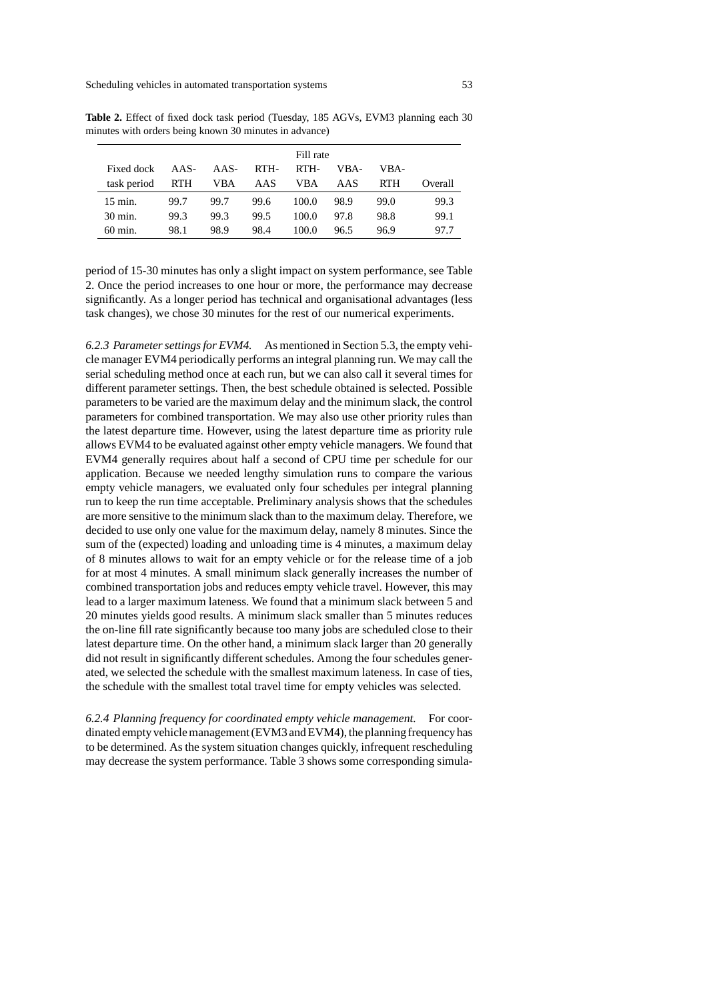|                    | Fill rate  |        |      |       |      |            |           |
|--------------------|------------|--------|------|-------|------|------------|-----------|
| Fixed dock         | $AAS-$     | $AAS-$ | RTH- | RTH-  | VBA- | VBA-       |           |
| task period        | <b>RTH</b> | VBA    | AAS  | VBA   | AAS  | <b>RTH</b> | () verall |
| $15 \text{ min}$ . | 99.7       | 99.7   | 99.6 | 100.0 | 98.9 | 99.0       | 99.3      |
| 30 min.            | 99.3       | 99.3   | 99.5 | 100.0 | 97.8 | 98.8       | 99.1      |
| $60 \text{ min}$ . | 98.1       | 98.9   | 98.4 | 100.0 | 96.5 | 96.9       | 97.7      |

**Table 2.** Effect of fixed dock task period (Tuesday, 185 AGVs, EVM3 planning each 30 minutes with orders being known 30 minutes in advance)

period of 15-30 minutes has onlya slight impact on system performance, see Table 2. Once the period increases to one hour or more, the performance maydecrease significantly. As a longer period has technical and organisational advantages (less task changes), we chose 30 minutes for the rest of our numerical experiments.

*6.2.3 Parameter settings for EVM4.* As mentioned in Section 5.3, the emptyvehicle manager EVM4 periodically performs an integral planning run. We may call the serial scheduling method once at each run, but we can also call it several times for different parameter settings. Then, the best schedule obtained is selected. Possible parameters to be varied are the maximum delayand the minimum slack, the control parameters for combined transportation. We may also use other priority rules than the latest departure time. However, using the latest departure time as priority rule allows EVM4 to be evaluated against other emptyvehicle managers. We found that EVM4 generally requires about half a second of CPU time per schedule for our application. Because we needed lengthy simulation runs to compare the various empty vehicle managers, we evaluated only four schedules per integral planning run to keep the run time acceptable. Preliminaryanalysis shows that the schedules are more sensitive to the minimum slack than to the maximum delay. Therefore, we decided to use only one value for the maximum delay, namely 8 minutes. Since the sum of the (expected) loading and unloading time is 4 minutes, a maximum delay of 8 minutes allows to wait for an empty vehicle or for the release time of a job for at most 4 minutes. A small minimum slack generally increases the number of combined transportation jobs and reduces empty vehicle travel. However, this may lead to a larger maximum lateness. We found that a minimum slack between 5 and 20 minutes yields good results. A minimum slack smaller than 5 minutes reduces the on-line fill rate significantly because too many jobs are scheduled close to their latest departure time. On the other hand, a minimum slack larger than 20 generally did not result in significantly different schedules. Among the four schedules generated, we selected the schedule with the smallest maximum lateness. In case of ties, the schedule with the smallest total travel time for empty vehicles was selected.

*6.2.4 Planning frequency for coordinated empty vehicle management.* For coordinated empty vehicle management (EVM3 and EVM4), the planning frequency has to be determined. As the system situation changes quickly, infrequent rescheduling maydecrease the system performance. Table 3 shows some corresponding simula-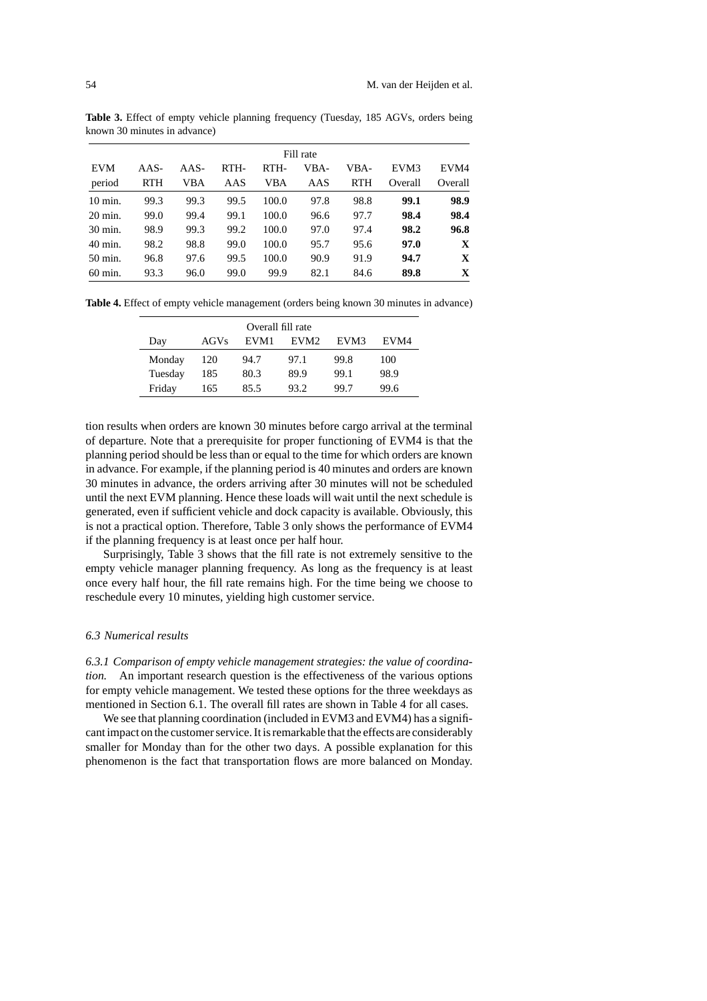|                    | Fill rate  |      |      |       |      |            |         |              |
|--------------------|------------|------|------|-------|------|------------|---------|--------------|
| <b>EVM</b>         | AAS-       | AAS- | RTH- | RTH-  | VBA- | VBA-       | EVM3    | EVM4         |
| period             | <b>RTH</b> | VBA  | AAS  | VBA   | AAS  | <b>RTH</b> | Overall | Overall      |
| $10 \text{ min.}$  | 99.3       | 99.3 | 99.5 | 100.0 | 97.8 | 98.8       | 99.1    | 98.9         |
| $20 \text{ min}$ . | 99.0       | 99.4 | 99.1 | 100.0 | 96.6 | 97.7       | 98.4    | 98.4         |
| 30 min.            | 98.9       | 99.3 | 99.2 | 100.0 | 97.0 | 97.4       | 98.2    | 96.8         |
| $40 \text{ min}$ . | 98.2       | 98.8 | 99.0 | 100.0 | 95.7 | 95.6       | 97.0    | X            |
| 50 min.            | 96.8       | 97.6 | 99.5 | 100.0 | 90.9 | 91.9       | 94.7    | X            |
| $60 \text{ min}$ . | 93.3       | 96.0 | 99.0 | 99.9  | 82.1 | 84.6       | 89.8    | $\mathbf{X}$ |

**Table 3.** Effect of empty vehicle planning frequency (Tuesday, 185 AGVs, orders being known 30 minutes in advance)

**Table 4.** Effect of empty vehicle management (orders being known 30 minutes in advance)

| Overall fill rate |             |      |                  |      |      |  |  |  |
|-------------------|-------------|------|------------------|------|------|--|--|--|
| Day               | <b>AGVs</b> | EVM1 | EVM <sub>2</sub> | EVM3 | EVM4 |  |  |  |
| Monday            | 120         | 94.7 | 97.1             | 99.8 | 100  |  |  |  |
| Tuesday           | 185         | 80.3 | 89.9             | 99.1 | 98.9 |  |  |  |
| Friday            | 165         | 85.5 | 93.2             | 99.7 | 99.6 |  |  |  |

tion results when orders are known 30 minutes before cargo arrival at the terminal of departure. Note that a prerequisite for proper functioning of EVM4 is that the planning period should be less than or equal to the time for which orders are known in advance. For example, if the planning period is 40 minutes and orders are known 30 minutes in advance, the orders arriving after 30 minutes will not be scheduled until the next EVM planning. Hence these loads will wait until the next schedule is generated, even if sufficient vehicle and dock capacity is available. Obviously, this is not a practical option. Therefore, Table 3 onlyshows the performance of EVM4 if the planning frequency is at least once per half hour.

Surprisingly, Table 3 shows that the fill rate is not extremely sensitive to the empty vehicle manager planning frequency. As long as the frequency is at least once everyhalf hour, the fill rate remains high. For the time being we choose to reschedule every 10 minutes, yielding high customer service.

#### *6.3 Numerical results*

*6.3.1 Comparison of empty vehicle management strategies: the value of coordination.* An important research question is the effectiveness of the various options for empty vehicle management. We tested these options for the three weekdays as mentioned in Section 6.1. The overall fill rates are shown in Table 4 for all cases.

We see that planning coordination (included in EVM3 and EVM4) has a significant impact on the customer service. It is remarkable that the effects are considerably smaller for Monday than for the other two days. A possible explanation for this phenomenon is the fact that transportation flows are more balanced on Monday.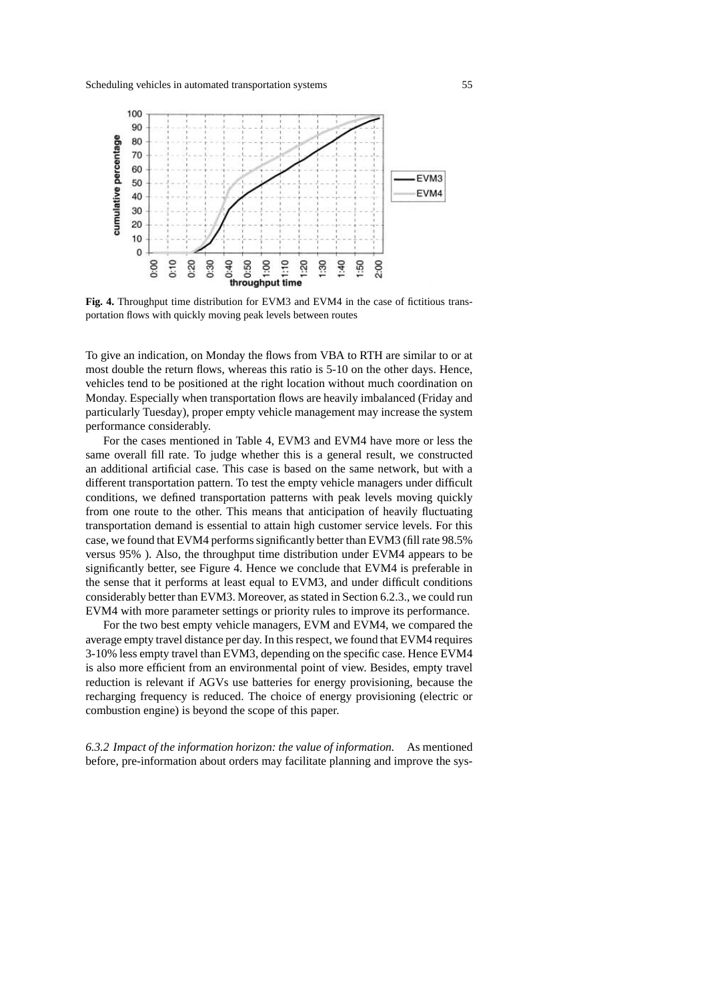

**Fig. 4.** Throughput time distribution for EVM3 and EVM4 in the case of fictitious transportation flows with quickly moving peak levels between routes

To give an indication, on Mondaythe flows from VBA to RTH are similar to or at most double the return flows, whereas this ratio is 5-10 on the other days. Hence, vehicles tend to be positioned at the right location without much coordination on Monday. Especially when transportation flows are heavily imbalanced (Friday and particularly Tuesday), proper empty vehicle management may increase the system performance considerably.

For the cases mentioned in Table 4, EVM3 and EVM4 have more or less the same overall fill rate. To judge whether this is a general result, we constructed an additional artificial case. This case is based on the same network, but with a different transportation pattern. To test the empty vehicle managers under difficult conditions, we defined transportation patterns with peak levels moving quickly from one route to the other. This means that anticipation of heavily fluctuating transportation demand is essential to attain high customer service levels. For this case, we found that EVM4 performs significantlybetter than EVM3 (fill rate 98.5% versus 95% ). Also, the throughput time distribution under EVM4 appears to be significantly better, see Figure 4. Hence we conclude that EVM4 is preferable in the sense that it performs at least equal to EVM3, and under difficult conditions considerably better than EVM3. Moreover, as stated in Section 6.2.3., we could run EVM4 with more parameter settings or priority rules to improve its performance.

For the two best empty vehicle managers, EVM and EVM4, we compared the average empty travel distance per day. In this respect, we found that EVM4 requires 3-10% less empty travel than EVM3, depending on the specific case. Hence EVM4 is also more efficient from an environmental point of view. Besides, empty travel reduction is relevant if AGVs use batteries for energy provisioning, because the recharging frequency is reduced. The choice of energy provisioning (electric or combustion engine) is beyond the scope of this paper.

*6.3.2 Impact of the information horizon: the value of information.* As mentioned before, pre-information about orders mayfacilitate planning and improve the sys-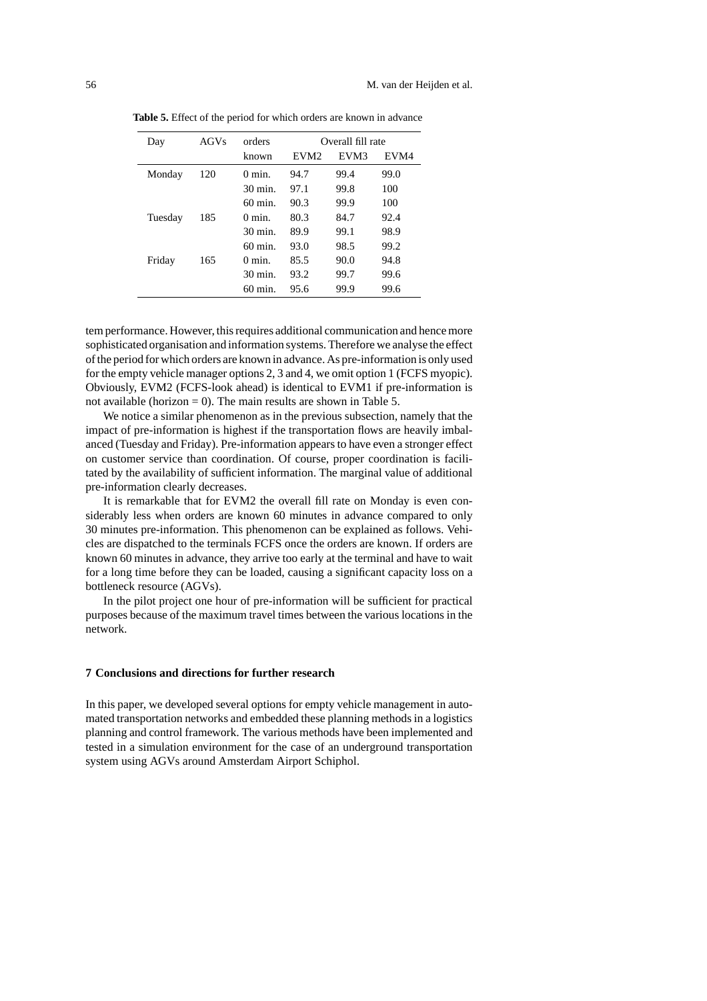| Day     | AGVs | orders             | Overall fill rate |      |      |
|---------|------|--------------------|-------------------|------|------|
|         |      | known              | EVM <sub>2</sub>  | EVM3 | EVM4 |
| Monday  | 120  | $0 \text{ min}$    | 94.7              | 99.4 | 99.0 |
|         |      | 30 min.            | 97.1              | 99.8 | 100  |
|         |      | $60 \text{ min}$ . | 90.3              | 99.9 | 100  |
| Tuesday | 185  | $0 \text{ min}$ .  | 80.3              | 84.7 | 92.4 |
|         |      | $30 \text{ min}$ . | 89.9              | 99.1 | 98.9 |
|         |      | $60 \text{ min}$ . | 93.0              | 98.5 | 99.2 |
| Friday  | 165  | $0 \text{ min}$ .  | 85.5              | 90.0 | 94.8 |
|         |      | 30 min.            | 93.2              | 99.7 | 99.6 |
|         |      | 60 min.            | 95.6              | 99.9 | 99.6 |

**Table 5.** Effect of the period for which orders are known in advance

tem performance. However, this requires additional communication and hence more sophisticated organisation and information systems. Therefore we analyse the effect of the period for which orders are known in advance. As pre-information is onlyused for the empty vehicle manager options 2, 3 and 4, we omit option 1 (FCFS myopic). Obviously, EVM2 (FCFS-look ahead) is identical to EVM1 if pre-information is not available (horizon  $= 0$ ). The main results are shown in Table 5.

We notice a similar phenomenon as in the previous subsection, namely that the impact of pre-information is highest if the transportation flows are heavilyimbalanced (Tuesdayand Friday). Pre-information appears to have even a stronger effect on customer service than coordination. Of course, proper coordination is facilitated by the availability of sufficient information. The marginal value of additional pre-information clearly decreases.

It is remarkable that for EVM2 the overall fill rate on Monday is even considerably less when orders are known 60 minutes in advance compared to only 30 minutes pre-information. This phenomenon can be explained as follows. Vehicles are dispatched to the terminals FCFS once the orders are known. If orders are known 60 minutes in advance, they arrive too early at the terminal and have to wait for a long time before theycan be loaded, causing a significant capacityloss on a bottleneck resource (AGVs).

In the pilot project one hour of pre-information will be sufficient for practical purposes because of the maximum travel times between the various locations in the network.

#### **7 Conclusions and directions for further research**

In this paper, we developed several options for empty vehicle management in automated transportation networks and embedded these planning methods in a logistics planning and control framework. The various methods have been implemented and tested in a simulation environment for the case of an underground transportation system using AGVs around Amsterdam Airport Schiphol.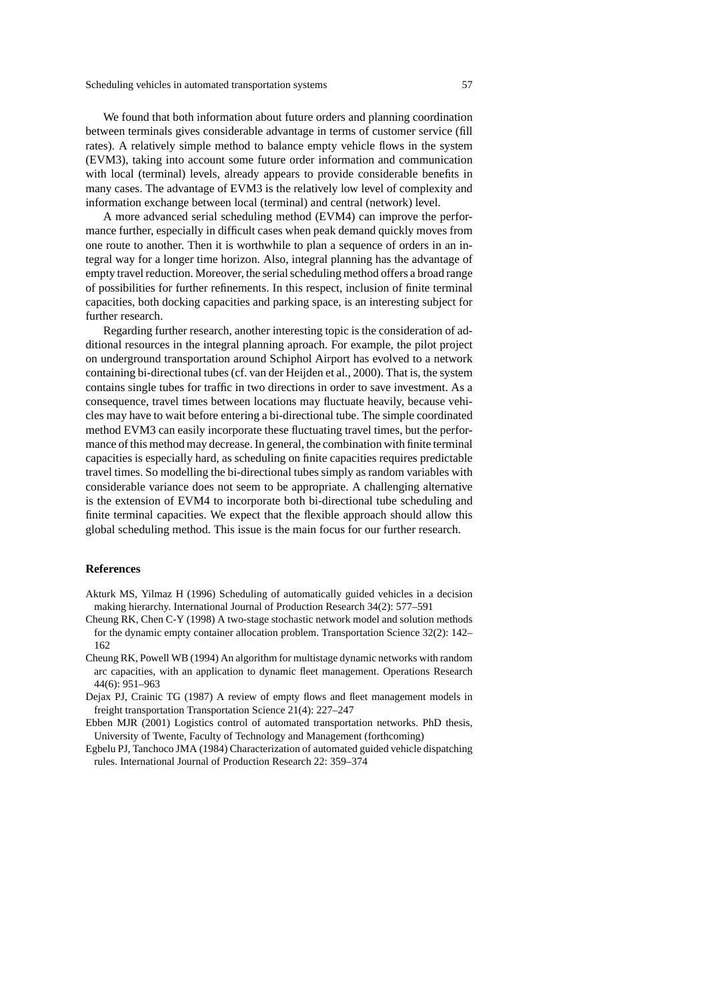We found that both information about future orders and planning coordination between terminals gives considerable advantage in terms of customer service (fill rates). A relatively simple method to balance empty vehicle flows in the system (EVM3), taking into account some future order information and communication with local (terminal) levels, already appears to provide considerable benefits in many cases. The advantage of EVM3 is the relatively low level of complexity and information exchange between local (terminal) and central (network) level.

A more advanced serial scheduling method (EVM4) can improve the performance further, especially in difficult cases when peak demand quickly moves from one route to another. Then it is worthwhile to plan a sequence of orders in an integral wayfor a longer time horizon. Also, integral planning has the advantage of empty travel reduction. Moreover, the serial scheduling method offers a broad range of possibilities for further refinements. In this respect, inclusion of finite terminal capacities, both docking capacities and parking space, is an interesting subject for further research.

Regarding further research, another interesting topic is the consideration of additional resources in the integral planning aproach. For example, the pilot project on underground transportation around Schiphol Airport has evolved to a network containing bi-directional tubes (cf. van der Heijden et al., 2000). That is, the system contains single tubes for traffic in two directions in order to save investment. As a consequence, travel times between locations mayfluctuate heavily, because vehicles mayhave to wait before entering a bi-directional tube. The simple coordinated method EVM3 can easily incorporate these fluctuating travel times, but the performance of this method maydecrease. In general, the combination with finite terminal capacities is especiallyhard, as scheduling on finite capacities requires predictable travel times. So modelling the bi-directional tubes simplyas random variables with considerable variance does not seem to be appropriate. A challenging alternative is the extension of EVM4 to incorporate both bi-directional tube scheduling and finite terminal capacities. We expect that the flexible approach should allow this global scheduling method. This issue is the main focus for our further research.

#### **References**

- Akturk MS, Yilmaz H (1996) Scheduling of automaticallyguided vehicles in a decision making hierarchy. International Journal of Production Research 34(2): 577–591
- Cheung RK, Chen C-Y (1998) A two-stage stochastic network model and solution methods for the dynamic empty container allocation problem. Transportation Science 32(2): 142– 162
- Cheung RK, Powell WB (1994) An algorithm for multistage dynamic networks with random arc capacities, with an application to dynamic fleet management. Operations Research 44(6): 951–963
- Dejax PJ, Crainic TG (1987) A review of empty flows and fleet management models in freight transportation Transportation Science 21(4): 227–247
- Ebben MJR (2001) Logistics control of automated transportation networks. PhD thesis, University of Twente, Faculty of Technology and Management (forthcoming)
- Egbelu PJ, Tanchoco JMA (1984) Characterization of automated guided vehicle dispatching rules. International Journal of Production Research 22: 359–374